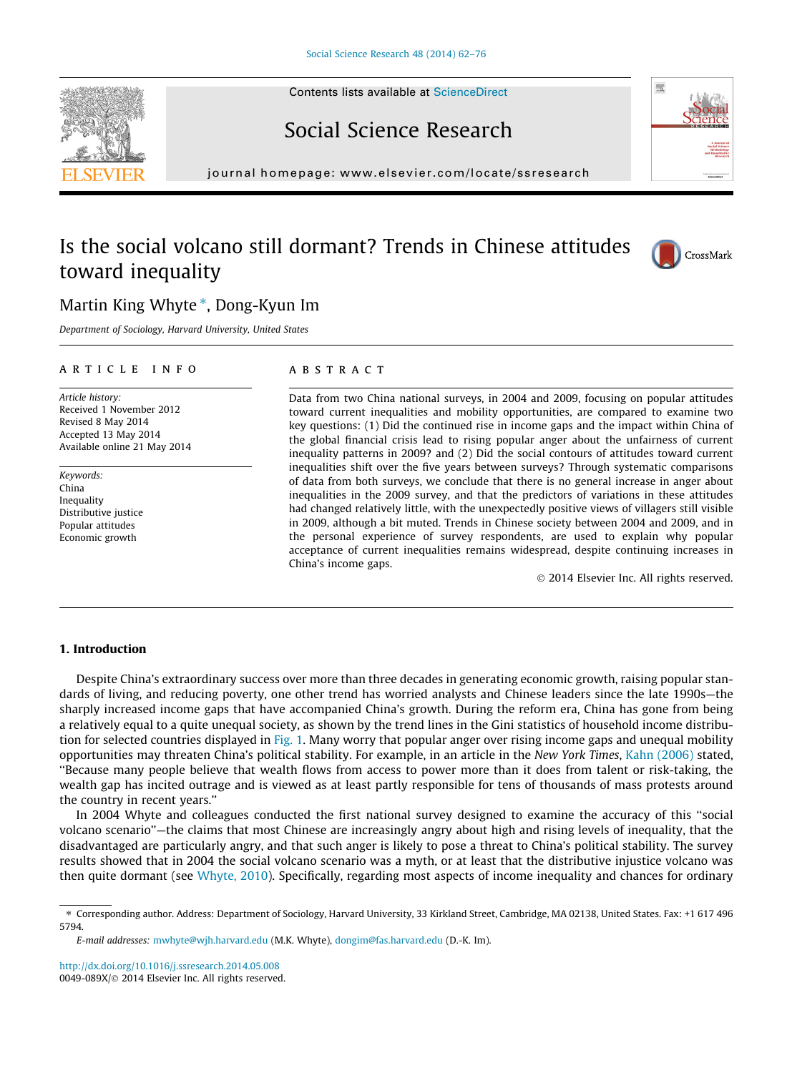Contents lists available at [ScienceDirect](http://www.sciencedirect.com/science/journal/0049089X)





# Social Science Research

journal homepage: [www.elsevier.com/locate/ssresearch](http://www.elsevier.com/locate/ssresearch)

# Is the social volcano still dormant? Trends in Chinese attitudes toward inequality



# Martin King Whyte \*, Dong-Kyun Im

Department of Sociology, Harvard University, United States

# article info

Article history: Received 1 November 2012 Revised 8 May 2014 Accepted 13 May 2014 Available online 21 May 2014

Keywords: China Inequality Distributive justice Popular attitudes Economic growth

# **ABSTRACT**

Data from two China national surveys, in 2004 and 2009, focusing on popular attitudes toward current inequalities and mobility opportunities, are compared to examine two key questions: (1) Did the continued rise in income gaps and the impact within China of the global financial crisis lead to rising popular anger about the unfairness of current inequality patterns in 2009? and (2) Did the social contours of attitudes toward current inequalities shift over the five years between surveys? Through systematic comparisons of data from both surveys, we conclude that there is no general increase in anger about inequalities in the 2009 survey, and that the predictors of variations in these attitudes had changed relatively little, with the unexpectedly positive views of villagers still visible in 2009, although a bit muted. Trends in Chinese society between 2004 and 2009, and in the personal experience of survey respondents, are used to explain why popular acceptance of current inequalities remains widespread, despite continuing increases in China's income gaps.

- 2014 Elsevier Inc. All rights reserved.

# 1. Introduction

Despite China's extraordinary success over more than three decades in generating economic growth, raising popular standards of living, and reducing poverty, one other trend has worried analysts and Chinese leaders since the late 1990s—the sharply increased income gaps that have accompanied China's growth. During the reform era, China has gone from being a relatively equal to a quite unequal society, as shown by the trend lines in the Gini statistics of household income distribu-tion for selected countries displayed in [Fig. 1.](#page-1-0) Many worry that popular anger over rising income gaps and unequal mobility opportunities may threaten China's political stability. For example, in an article in the New York Times, [Kahn \(2006\)](#page-14-0) stated, ''Because many people believe that wealth flows from access to power more than it does from talent or risk-taking, the wealth gap has incited outrage and is viewed as at least partly responsible for tens of thousands of mass protests around the country in recent years.''

In 2004 Whyte and colleagues conducted the first national survey designed to examine the accuracy of this ''social volcano scenario''—the claims that most Chinese are increasingly angry about high and rising levels of inequality, that the disadvantaged are particularly angry, and that such anger is likely to pose a threat to China's political stability. The survey results showed that in 2004 the social volcano scenario was a myth, or at least that the distributive injustice volcano was then quite dormant (see [Whyte, 2010](#page-14-0)). Specifically, regarding most aspects of income inequality and chances for ordinary

E-mail addresses: [mwhyte@wjh.harvard.edu](mailto:mwhyte@wjh.harvard.edu) (M.K. Whyte), [dongim@fas.harvard.edu](mailto:dongim@fas.harvard.edu) (D.-K. Im).

<sup>⇑</sup> Corresponding author. Address: Department of Sociology, Harvard University, 33 Kirkland Street, Cambridge, MA 02138, United States. Fax: +1 617 496 5794.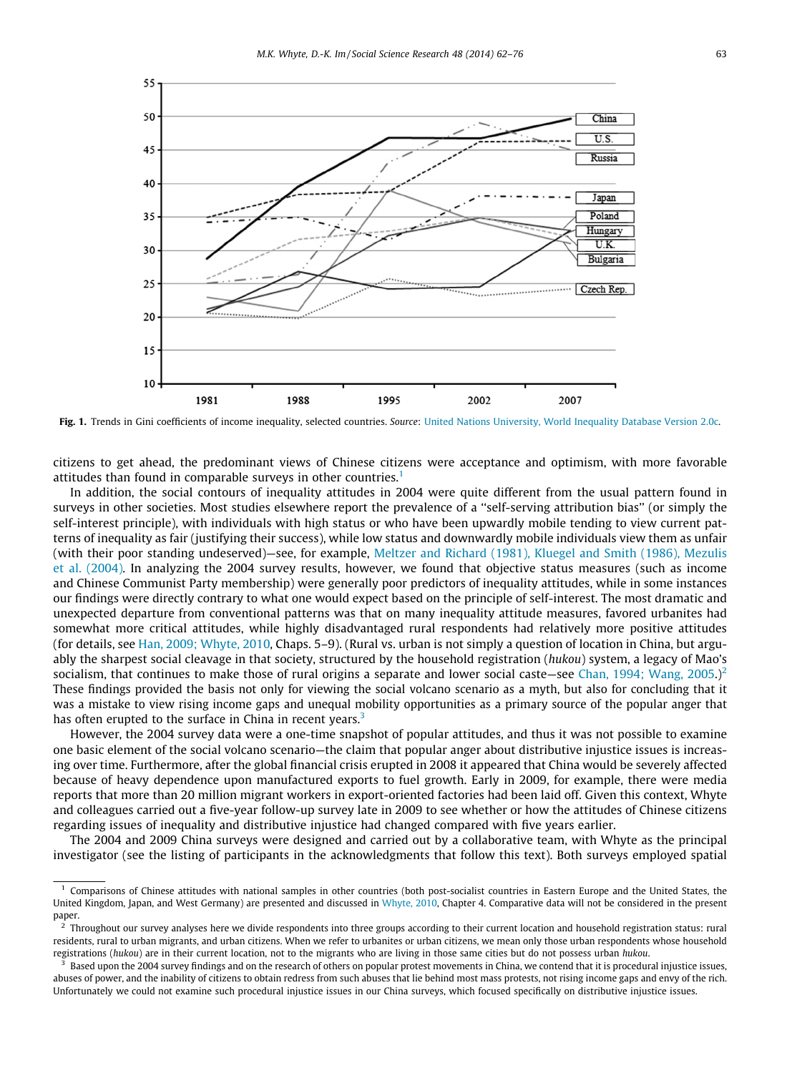<span id="page-1-0"></span>

Fig. 1. Trends in Gini coefficients of income inequality, selected countries. Source: [United Nations University, World Inequality Database Version 2.0c](#page-14-0).

citizens to get ahead, the predominant views of Chinese citizens were acceptance and optimism, with more favorable attitudes than found in comparable surveys in other countries.<sup>1</sup>

In addition, the social contours of inequality attitudes in 2004 were quite different from the usual pattern found in surveys in other societies. Most studies elsewhere report the prevalence of a ''self-serving attribution bias'' (or simply the self-interest principle), with individuals with high status or who have been upwardly mobile tending to view current patterns of inequality as fair (justifying their success), while low status and downwardly mobile individuals view them as unfair (with their poor standing undeserved)—see, for example, [Meltzer and Richard \(1981\), Kluegel and Smith \(1986\), Mezulis](#page-14-0) [et al. \(2004\).](#page-14-0) In analyzing the 2004 survey results, however, we found that objective status measures (such as income and Chinese Communist Party membership) were generally poor predictors of inequality attitudes, while in some instances our findings were directly contrary to what one would expect based on the principle of self-interest. The most dramatic and unexpected departure from conventional patterns was that on many inequality attitude measures, favored urbanites had somewhat more critical attitudes, while highly disadvantaged rural respondents had relatively more positive attitudes (for details, see [Han, 2009; Whyte, 2010,](#page-14-0) Chaps. 5–9). (Rural vs. urban is not simply a question of location in China, but arguably the sharpest social cleavage in that society, structured by the household registration (hukou) system, a legacy of Mao's socialism, that continues to make those of rural origins a separate and lower social caste—see [Chan, 1994; Wang, 2005.](#page-13-0))<sup>2</sup> These findings provided the basis not only for viewing the social volcano scenario as a myth, but also for concluding that it was a mistake to view rising income gaps and unequal mobility opportunities as a primary source of the popular anger that has often erupted to the surface in China in recent years. $3$ 

However, the 2004 survey data were a one-time snapshot of popular attitudes, and thus it was not possible to examine one basic element of the social volcano scenario—the claim that popular anger about distributive injustice issues is increasing over time. Furthermore, after the global financial crisis erupted in 2008 it appeared that China would be severely affected because of heavy dependence upon manufactured exports to fuel growth. Early in 2009, for example, there were media reports that more than 20 million migrant workers in export-oriented factories had been laid off. Given this context, Whyte and colleagues carried out a five-year follow-up survey late in 2009 to see whether or how the attitudes of Chinese citizens regarding issues of inequality and distributive injustice had changed compared with five years earlier.

The 2004 and 2009 China surveys were designed and carried out by a collaborative team, with Whyte as the principal investigator (see the listing of participants in the acknowledgments that follow this text). Both surveys employed spatial

<sup>&</sup>lt;sup>1</sup> Comparisons of Chinese attitudes with national samples in other countries (both post-socialist countries in Eastern Europe and the United States, the United Kingdom, Japan, and West Germany) are presented and discussed in [Whyte, 2010](#page-14-0), Chapter 4. Comparative data will not be considered in the present paper.

 $^2$  Throughout our survey analyses here we divide respondents into three groups according to their current location and household registration status: rural residents, rural to urban migrants, and urban citizens. When we refer to urbanites or urban citizens, we mean only those urban respondents whose household registrations (hukou) are in their current location, not to the migrants who are living in those same cities but do not possess urban hukou.

<sup>3</sup> Based upon the 2004 survey findings and on the research of others on popular protest movements in China, we contend that it is procedural injustice issues, abuses of power, and the inability of citizens to obtain redress from such abuses that lie behind most mass protests, not rising income gaps and envy of the rich. Unfortunately we could not examine such procedural injustice issues in our China surveys, which focused specifically on distributive injustice issues.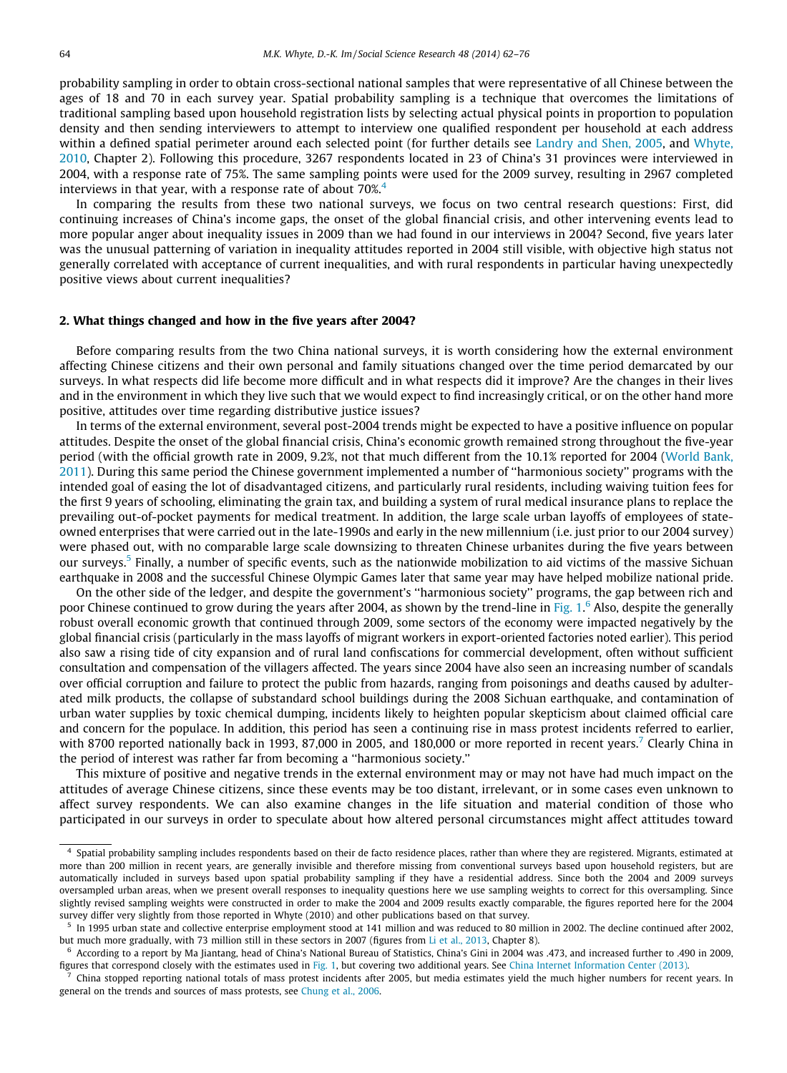probability sampling in order to obtain cross-sectional national samples that were representative of all Chinese between the ages of 18 and 70 in each survey year. Spatial probability sampling is a technique that overcomes the limitations of traditional sampling based upon household registration lists by selecting actual physical points in proportion to population density and then sending interviewers to attempt to interview one qualified respondent per household at each address within a defined spatial perimeter around each selected point (for further details see [Landry and Shen, 2005,](#page-14-0) and [Whyte,](#page-14-0) [2010](#page-14-0), Chapter 2). Following this procedure, 3267 respondents located in 23 of China's 31 provinces were interviewed in 2004, with a response rate of 75%. The same sampling points were used for the 2009 survey, resulting in 2967 completed interviews in that year, with a response rate of about  $70\%$ <sup>4</sup>

In comparing the results from these two national surveys, we focus on two central research questions: First, did continuing increases of China's income gaps, the onset of the global financial crisis, and other intervening events lead to more popular anger about inequality issues in 2009 than we had found in our interviews in 2004? Second, five years later was the unusual patterning of variation in inequality attitudes reported in 2004 still visible, with objective high status not generally correlated with acceptance of current inequalities, and with rural respondents in particular having unexpectedly positive views about current inequalities?

#### 2. What things changed and how in the five years after 2004?

Before comparing results from the two China national surveys, it is worth considering how the external environment affecting Chinese citizens and their own personal and family situations changed over the time period demarcated by our surveys. In what respects did life become more difficult and in what respects did it improve? Are the changes in their lives and in the environment in which they live such that we would expect to find increasingly critical, or on the other hand more positive, attitudes over time regarding distributive justice issues?

In terms of the external environment, several post-2004 trends might be expected to have a positive influence on popular attitudes. Despite the onset of the global financial crisis, China's economic growth remained strong throughout the five-year period (with the official growth rate in 2009, 9.2%, not that much different from the 10.1% reported for 2004 ([World Bank,](#page-14-0) [2011](#page-14-0)). During this same period the Chinese government implemented a number of ''harmonious society'' programs with the intended goal of easing the lot of disadvantaged citizens, and particularly rural residents, including waiving tuition fees for the first 9 years of schooling, eliminating the grain tax, and building a system of rural medical insurance plans to replace the prevailing out-of-pocket payments for medical treatment. In addition, the large scale urban layoffs of employees of stateowned enterprises that were carried out in the late-1990s and early in the new millennium (i.e. just prior to our 2004 survey) were phased out, with no comparable large scale downsizing to threaten Chinese urbanites during the five years between our surveys.<sup>5</sup> Finally, a number of specific events, such as the nationwide mobilization to aid victims of the massive Sichuan earthquake in 2008 and the successful Chinese Olympic Games later that same year may have helped mobilize national pride.

On the other side of the ledger, and despite the government's ''harmonious society'' programs, the gap between rich and poor Chinese continued to grow during the years after 2004, as shown by the trend-line in [Fig. 1](#page-1-0).<sup>6</sup> Also, despite the generally robust overall economic growth that continued through 2009, some sectors of the economy were impacted negatively by the global financial crisis (particularly in the mass layoffs of migrant workers in export-oriented factories noted earlier). This period also saw a rising tide of city expansion and of rural land confiscations for commercial development, often without sufficient consultation and compensation of the villagers affected. The years since 2004 have also seen an increasing number of scandals over official corruption and failure to protect the public from hazards, ranging from poisonings and deaths caused by adulterated milk products, the collapse of substandard school buildings during the 2008 Sichuan earthquake, and contamination of urban water supplies by toxic chemical dumping, incidents likely to heighten popular skepticism about claimed official care and concern for the populace. In addition, this period has seen a continuing rise in mass protest incidents referred to earlier, with 8700 reported nationally back in 1993, 87,000 in 2005, and 180,000 or more reported in recent years.<sup>7</sup> Clearly China in the period of interest was rather far from becoming a ''harmonious society.''

This mixture of positive and negative trends in the external environment may or may not have had much impact on the attitudes of average Chinese citizens, since these events may be too distant, irrelevant, or in some cases even unknown to affect survey respondents. We can also examine changes in the life situation and material condition of those who participated in our surveys in order to speculate about how altered personal circumstances might affect attitudes toward

<sup>&</sup>lt;sup>4</sup> Spatial probability sampling includes respondents based on their de facto residence places, rather than where they are registered. Migrants, estimated at more than 200 million in recent years, are generally invisible and therefore missing from conventional surveys based upon household registers, but are automatically included in surveys based upon spatial probability sampling if they have a residential address. Since both the 2004 and 2009 surveys oversampled urban areas, when we present overall responses to inequality questions here we use sampling weights to correct for this oversampling. Since slightly revised sampling weights were constructed in order to make the 2004 and 2009 results exactly comparable, the figures reported here for the 2004 survey differ very slightly from those reported in Whyte (2010) and other publications based on that survey.

 $5$  In 1995 urban state and collective enterprise employment stood at 141 million and was reduced to 80 million in 2002. The decline continued after 2002, but much more gradually, with 73 million still in these sectors in 2007 (figures from [Li et al., 2013](#page-14-0), Chapter 8).

<sup>6</sup> According to a report by Ma Jiantang, head of China's National Bureau of Statistics, China's Gini in 2004 was .473, and increased further to .490 in 2009, figures that correspond closely with the estimates used in [Fig. 1,](#page-1-0) but covering two additional years. See [China Internet Information Center \(2013\).](#page-13-0)

<sup>7</sup> China stopped reporting national totals of mass protest incidents after 2005, but media estimates yield the much higher numbers for recent years. In general on the trends and sources of mass protests, see [Chung et al., 2006](#page-13-0).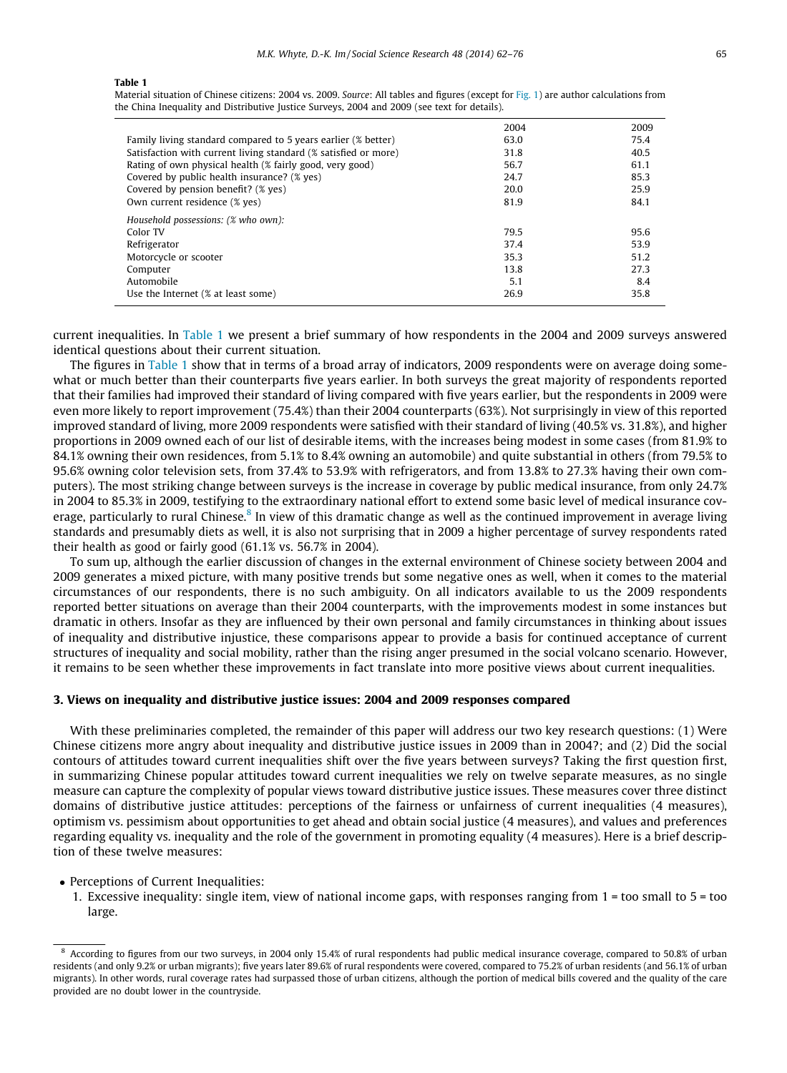<span id="page-3-0"></span>Table 1

Material situation of Chinese citizens: 2004 vs. 2009. Source: All tables and figures (except for [Fig. 1\)](#page-1-0) are author calculations from the China Inequality and Distributive Justice Surveys, 2004 and 2009 (see text for details).

| Family living standard compared to 5 years earlier (% better)<br>Satisfaction with current living standard (% satisfied or more)<br>Rating of own physical health (% fairly good, very good)<br>Covered by public health insurance? (% yes)<br>Covered by pension benefit? (% yes) | 2004<br>63.0<br>31.8<br>56.7<br>24.7<br>20.0 | 2009<br>75.4<br>40.5<br>61.1<br>85.3<br>25.9 |
|------------------------------------------------------------------------------------------------------------------------------------------------------------------------------------------------------------------------------------------------------------------------------------|----------------------------------------------|----------------------------------------------|
| Own current residence (% yes)<br>Household possessions: (% who own):<br>Color TV                                                                                                                                                                                                   | 81.9<br>79.5                                 | 84.1<br>95.6                                 |
| Refrigerator<br>Motorcycle or scooter<br>Computer<br>Automobile                                                                                                                                                                                                                    | 37.4<br>35.3<br>13.8<br>5.1                  | 53.9<br>51.2<br>27.3<br>8.4                  |
| Use the Internet (% at least some)                                                                                                                                                                                                                                                 | 26.9                                         | 35.8                                         |

current inequalities. In Table 1 we present a brief summary of how respondents in the 2004 and 2009 surveys answered identical questions about their current situation.

The figures in Table 1 show that in terms of a broad array of indicators, 2009 respondents were on average doing somewhat or much better than their counterparts five years earlier. In both surveys the great majority of respondents reported that their families had improved their standard of living compared with five years earlier, but the respondents in 2009 were even more likely to report improvement (75.4%) than their 2004 counterparts (63%). Not surprisingly in view of this reported improved standard of living, more 2009 respondents were satisfied with their standard of living (40.5% vs. 31.8%), and higher proportions in 2009 owned each of our list of desirable items, with the increases being modest in some cases (from 81.9% to 84.1% owning their own residences, from 5.1% to 8.4% owning an automobile) and quite substantial in others (from 79.5% to 95.6% owning color television sets, from 37.4% to 53.9% with refrigerators, and from 13.8% to 27.3% having their own computers). The most striking change between surveys is the increase in coverage by public medical insurance, from only 24.7% in 2004 to 85.3% in 2009, testifying to the extraordinary national effort to extend some basic level of medical insurance coverage, particularly to rural Chinese.<sup>8</sup> In view of this dramatic change as well as the continued improvement in average living standards and presumably diets as well, it is also not surprising that in 2009 a higher percentage of survey respondents rated their health as good or fairly good (61.1% vs. 56.7% in 2004).

To sum up, although the earlier discussion of changes in the external environment of Chinese society between 2004 and 2009 generates a mixed picture, with many positive trends but some negative ones as well, when it comes to the material circumstances of our respondents, there is no such ambiguity. On all indicators available to us the 2009 respondents reported better situations on average than their 2004 counterparts, with the improvements modest in some instances but dramatic in others. Insofar as they are influenced by their own personal and family circumstances in thinking about issues of inequality and distributive injustice, these comparisons appear to provide a basis for continued acceptance of current structures of inequality and social mobility, rather than the rising anger presumed in the social volcano scenario. However, it remains to be seen whether these improvements in fact translate into more positive views about current inequalities.

# 3. Views on inequality and distributive justice issues: 2004 and 2009 responses compared

With these preliminaries completed, the remainder of this paper will address our two key research questions: (1) Were Chinese citizens more angry about inequality and distributive justice issues in 2009 than in 2004?; and (2) Did the social contours of attitudes toward current inequalities shift over the five years between surveys? Taking the first question first, in summarizing Chinese popular attitudes toward current inequalities we rely on twelve separate measures, as no single measure can capture the complexity of popular views toward distributive justice issues. These measures cover three distinct domains of distributive justice attitudes: perceptions of the fairness or unfairness of current inequalities (4 measures), optimism vs. pessimism about opportunities to get ahead and obtain social justice (4 measures), and values and preferences regarding equality vs. inequality and the role of the government in promoting equality (4 measures). Here is a brief description of these twelve measures:

#### - Perceptions of Current Inequalities:

1. Excessive inequality: single item, view of national income gaps, with responses ranging from 1 = too small to 5 = too large.

<sup>8</sup> According to figures from our two surveys, in 2004 only 15.4% of rural respondents had public medical insurance coverage, compared to 50.8% of urban residents (and only 9.2% or urban migrants); five years later 89.6% of rural respondents were covered, compared to 75.2% of urban residents (and 56.1% of urban migrants). In other words, rural coverage rates had surpassed those of urban citizens, although the portion of medical bills covered and the quality of the care provided are no doubt lower in the countryside.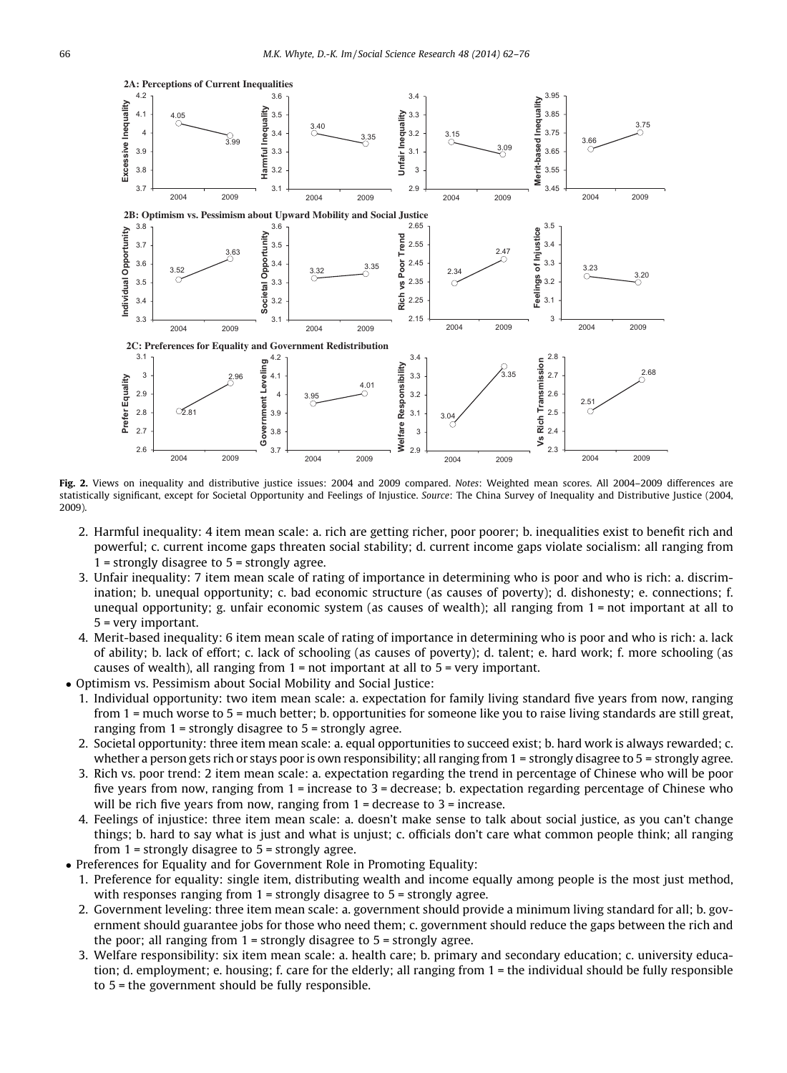<span id="page-4-0"></span>

Fig. 2. Views on inequality and distributive justice issues: 2004 and 2009 compared. Notes: Weighted mean scores. All 2004–2009 differences are statistically significant, except for Societal Opportunity and Feelings of Injustice. Source: The China Survey of Inequality and Distributive Justice (2004, 2009).

- 2. Harmful inequality: 4 item mean scale: a. rich are getting richer, poor poorer; b. inequalities exist to benefit rich and powerful; c. current income gaps threaten social stability; d. current income gaps violate socialism: all ranging from  $1 =$  strongly disagree to  $5 =$  strongly agree.
- 3. Unfair inequality: 7 item mean scale of rating of importance in determining who is poor and who is rich: a. discrimination; b. unequal opportunity; c. bad economic structure (as causes of poverty); d. dishonesty; e. connections; f. unequal opportunity; g. unfair economic system (as causes of wealth); all ranging from 1 = not important at all to 5 = very important.
- 4. Merit-based inequality: 6 item mean scale of rating of importance in determining who is poor and who is rich: a. lack of ability; b. lack of effort; c. lack of schooling (as causes of poverty); d. talent; e. hard work; f. more schooling (as causes of wealth), all ranging from  $1 = not$  important at all to  $5 =$  very important.
- Optimism vs. Pessimism about Social Mobility and Social Justice:
	- 1. Individual opportunity: two item mean scale: a. expectation for family living standard five years from now, ranging from 1 = much worse to 5 = much better; b. opportunities for someone like you to raise living standards are still great, ranging from 1 = strongly disagree to 5 = strongly agree.
	- 2. Societal opportunity: three item mean scale: a. equal opportunities to succeed exist; b. hard work is always rewarded; c. whether a person gets rich or stays poor is own responsibility; all ranging from 1 = strongly disagree to 5 = strongly agree.
	- 3. Rich vs. poor trend: 2 item mean scale: a. expectation regarding the trend in percentage of Chinese who will be poor five years from now, ranging from 1 = increase to 3 = decrease; b. expectation regarding percentage of Chinese who will be rich five years from now, ranging from  $1$  = decrease to  $3$  = increase.
	- 4. Feelings of injustice: three item mean scale: a. doesn't make sense to talk about social justice, as you can't change things; b. hard to say what is just and what is unjust; c. officials don't care what common people think; all ranging from  $1$  = strongly disagree to  $5$  = strongly agree.
- Preferences for Equality and for Government Role in Promoting Equality:
	- 1. Preference for equality: single item, distributing wealth and income equally among people is the most just method, with responses ranging from 1 = strongly disagree to 5 = strongly agree.
	- 2. Government leveling: three item mean scale: a. government should provide a minimum living standard for all; b. government should guarantee jobs for those who need them; c. government should reduce the gaps between the rich and the poor; all ranging from  $1 =$  strongly disagree to  $5 =$  strongly agree.
	- 3. Welfare responsibility: six item mean scale: a. health care; b. primary and secondary education; c. university education; d. employment; e. housing; f. care for the elderly; all ranging from 1 = the individual should be fully responsible to 5 = the government should be fully responsible.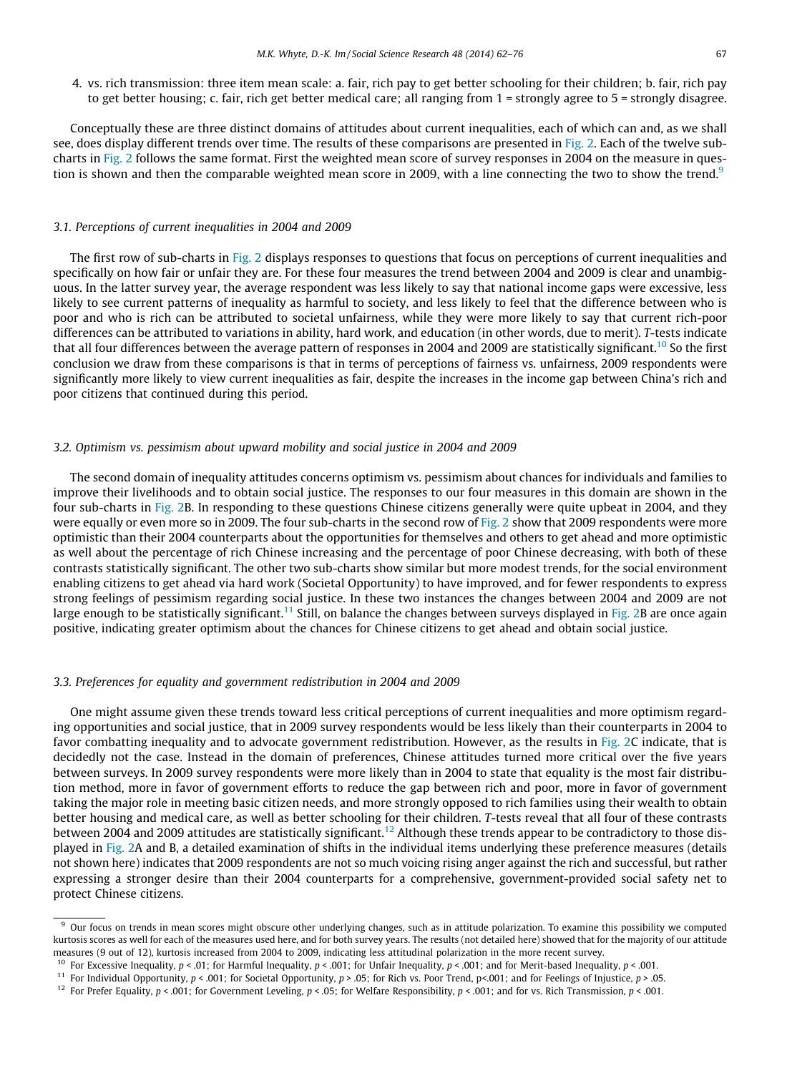4. vs. rich transmission: three item mean scale: a. fair, rich pay to get better schooling for their children; b. fair, rich pay to get better housing; c. fair, rich get better medical care; all ranging from  $1 =$  strongly agree to  $5 =$  strongly disagree.

Conceptually these are three distinct domains of attitudes about current inequalities, each of which can and, as we shall see, does display different trends over time. The results of these comparisons are presented in [Fig. 2](#page-4-0). Each of the twelve subcharts in [Fig. 2](#page-4-0) follows the same format. First the weighted mean score of survey responses in 2004 on the measure in question is shown and then the comparable weighted mean score in 2009, with a line connecting the two to show the trend.<sup>9</sup>

# 3.1. Perceptions of current inequalities in 2004 and 2009

The first row of sub-charts in [Fig. 2](#page-4-0) displays responses to questions that focus on perceptions of current inequalities and specifically on how fair or unfair they are. For these four measures the trend between 2004 and 2009 is clear and unambiguous. In the latter survey year, the average respondent was less likely to say that national income gaps were excessive, less likely to see current patterns of inequality as harmful to society, and less likely to feel that the difference between who is poor and who is rich can be attributed to societal unfairness, while they were more likely to say that current rich-poor differences can be attributed to variations in ability, hard work, and education (in other words, due to merit). T-tests indicate that all four differences between the average pattern of responses in 2004 and 2009 are statistically significant.<sup>10</sup> So the first conclusion we draw from these comparisons is that in terms of perceptions of fairness vs. unfairness, 2009 respondents were significantly more likely to view current inequalities as fair, despite the increases in the income gap between China's rich and poor citizens that continued during this period.

# 3.2. Optimism vs. pessimism about upward mobility and social justice in 2004 and 2009

The second domain of inequality attitudes concerns optimism vs. pessimism about chances for individuals and families to improve their livelihoods and to obtain social justice. The responses to our four measures in this domain are shown in the four sub-charts in [Fig. 2B](#page-4-0). In responding to these questions Chinese citizens generally were quite upbeat in 2004, and they were equally or even more so in 2009. The four sub-charts in the second row of [Fig. 2](#page-4-0) show that 2009 respondents were more optimistic than their 2004 counterparts about the opportunities for themselves and others to get ahead and more optimistic as well about the percentage of rich Chinese increasing and the percentage of poor Chinese decreasing, with both of these contrasts statistically significant. The other two sub-charts show similar but more modest trends, for the social environment enabling citizens to get ahead via hard work (Societal Opportunity) to have improved, and for fewer respondents to express strong feelings of pessimism regarding social justice. In these two instances the changes between 2004 and 2009 are not large enough to be statistically significant.<sup>11</sup> Still, on balance the changes between surveys displayed in [Fig. 2B](#page-4-0) are once again positive, indicating greater optimism about the chances for Chinese citizens to get ahead and obtain social justice.

# 3.3. Preferences for equality and government redistribution in 2004 and 2009

One might assume given these trends toward less critical perceptions of current inequalities and more optimism regarding opportunities and social justice, that in 2009 survey respondents would be less likely than their counterparts in 2004 to favor combatting inequality and to advocate government redistribution. However, as the results in [Fig. 2C](#page-4-0) indicate, that is decidedly not the case. Instead in the domain of preferences, Chinese attitudes turned more critical over the five years between surveys. In 2009 survey respondents were more likely than in 2004 to state that equality is the most fair distribution method, more in favor of government efforts to reduce the gap between rich and poor, more in favor of government taking the major role in meeting basic citizen needs, and more strongly opposed to rich families using their wealth to obtain better housing and medical care, as well as better schooling for their children. T-tests reveal that all four of these contrasts between 2004 and 2009 attitudes are statistically significant.<sup>12</sup> Although these trends appear to be contradictory to those displayed in [Fig. 2](#page-4-0)A and B, a detailed examination of shifts in the individual items underlying these preference measures (details not shown here) indicates that 2009 respondents are not so much voicing rising anger against the rich and successful, but rather expressing a stronger desire than their 2004 counterparts for a comprehensive, government-provided social safety net to protect Chinese citizens.

<sup>&</sup>lt;sup>9</sup> Our focus on trends in mean scores might obscure other underlying changes, such as in attitude polarization. To examine this possibility we computed kurtosis scores as well for each of the measures used here, and for both survey years. The results (not detailed here) showed that for the majority of our attitude measures (9 out of 12), kurtosis increased from 2004 to 2009, indicating less attitudinal polarization in the more recent survey.

<sup>&</sup>lt;sup>10</sup> For Excessive Inequality,  $p < .01$ ; for Harmful Inequality,  $p < .001$ ; for Unfair Inequality,  $p < .001$ ; and for Merit-based Inequality,  $p < .001$ .

<sup>&</sup>lt;sup>11</sup> For Individual Opportunity,  $p < .001$ ; for Societal Opportunity,  $p > .05$ ; for Rich vs. Poor Trend, p<.001; and for Feelings of Injustice,  $p > .05$ .

<sup>&</sup>lt;sup>12</sup> For Prefer Equality, p < .001; for Government Leveling, p < .05; for Welfare Responsibility, p < .001; and for vs. Rich Transmission, p < .001.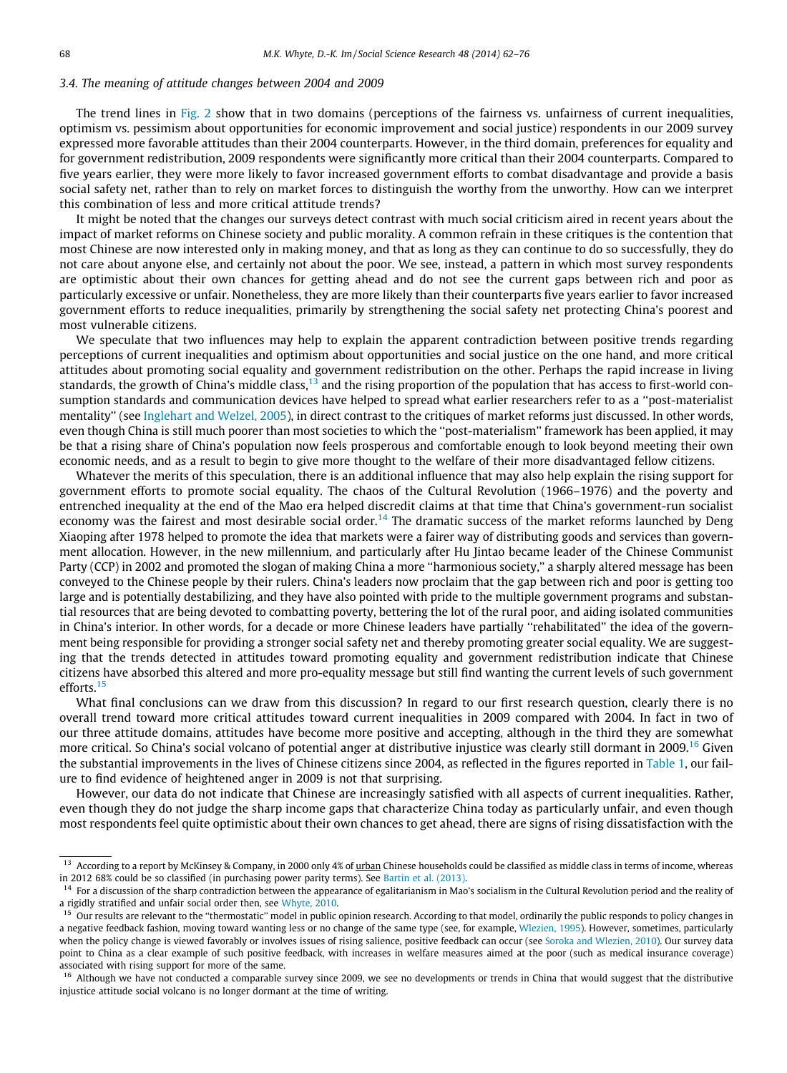#### 3.4. The meaning of attitude changes between 2004 and 2009

The trend lines in [Fig. 2](#page-4-0) show that in two domains (perceptions of the fairness vs. unfairness of current inequalities, optimism vs. pessimism about opportunities for economic improvement and social justice) respondents in our 2009 survey expressed more favorable attitudes than their 2004 counterparts. However, in the third domain, preferences for equality and for government redistribution, 2009 respondents were significantly more critical than their 2004 counterparts. Compared to five years earlier, they were more likely to favor increased government efforts to combat disadvantage and provide a basis social safety net, rather than to rely on market forces to distinguish the worthy from the unworthy. How can we interpret this combination of less and more critical attitude trends?

It might be noted that the changes our surveys detect contrast with much social criticism aired in recent years about the impact of market reforms on Chinese society and public morality. A common refrain in these critiques is the contention that most Chinese are now interested only in making money, and that as long as they can continue to do so successfully, they do not care about anyone else, and certainly not about the poor. We see, instead, a pattern in which most survey respondents are optimistic about their own chances for getting ahead and do not see the current gaps between rich and poor as particularly excessive or unfair. Nonetheless, they are more likely than their counterparts five years earlier to favor increased government efforts to reduce inequalities, primarily by strengthening the social safety net protecting China's poorest and most vulnerable citizens.

We speculate that two influences may help to explain the apparent contradiction between positive trends regarding perceptions of current inequalities and optimism about opportunities and social justice on the one hand, and more critical attitudes about promoting social equality and government redistribution on the other. Perhaps the rapid increase in living standards, the growth of China's middle class,<sup>13</sup> and the rising proportion of the population that has access to first-world consumption standards and communication devices have helped to spread what earlier researchers refer to as a ''post-materialist mentality'' (see [Inglehart and Welzel, 2005](#page-14-0)), in direct contrast to the critiques of market reforms just discussed. In other words, even though China is still much poorer than most societies to which the ''post-materialism'' framework has been applied, it may be that a rising share of China's population now feels prosperous and comfortable enough to look beyond meeting their own economic needs, and as a result to begin to give more thought to the welfare of their more disadvantaged fellow citizens.

Whatever the merits of this speculation, there is an additional influence that may also help explain the rising support for government efforts to promote social equality. The chaos of the Cultural Revolution (1966–1976) and the poverty and entrenched inequality at the end of the Mao era helped discredit claims at that time that China's government-run socialist economy was the fairest and most desirable social order.<sup>14</sup> The dramatic success of the market reforms launched by Deng Xiaoping after 1978 helped to promote the idea that markets were a fairer way of distributing goods and services than government allocation. However, in the new millennium, and particularly after Hu Jintao became leader of the Chinese Communist Party (CCP) in 2002 and promoted the slogan of making China a more ''harmonious society,'' a sharply altered message has been conveyed to the Chinese people by their rulers. China's leaders now proclaim that the gap between rich and poor is getting too large and is potentially destabilizing, and they have also pointed with pride to the multiple government programs and substantial resources that are being devoted to combatting poverty, bettering the lot of the rural poor, and aiding isolated communities in China's interior. In other words, for a decade or more Chinese leaders have partially ''rehabilitated'' the idea of the government being responsible for providing a stronger social safety net and thereby promoting greater social equality. We are suggesting that the trends detected in attitudes toward promoting equality and government redistribution indicate that Chinese citizens have absorbed this altered and more pro-equality message but still find wanting the current levels of such government efforts.15

What final conclusions can we draw from this discussion? In regard to our first research question, clearly there is no overall trend toward more critical attitudes toward current inequalities in 2009 compared with 2004. In fact in two of our three attitude domains, attitudes have become more positive and accepting, although in the third they are somewhat more critical. So China's social volcano of potential anger at distributive injustice was clearly still dormant in 2009.<sup>16</sup> Given the substantial improvements in the lives of Chinese citizens since 2004, as reflected in the figures reported in [Table 1,](#page-3-0) our failure to find evidence of heightened anger in 2009 is not that surprising.

However, our data do not indicate that Chinese are increasingly satisfied with all aspects of current inequalities. Rather, even though they do not judge the sharp income gaps that characterize China today as particularly unfair, and even though most respondents feel quite optimistic about their own chances to get ahead, there are signs of rising dissatisfaction with the

According to a report by McKinsey & Company, in 2000 only 4% of urban Chinese households could be classified as middle class in terms of income, whereas in 2012 68% could be so classified (in purchasing power parity terms). See [Bartin et al. \(2013\).](#page-13-0)

<sup>&</sup>lt;sup>14</sup> For a discussion of the sharp contradiction between the appearance of egalitarianism in Mao's socialism in the Cultural Revolution period and the reality of a rigidly stratified and unfair social order then, see [Whyte, 2010.](#page-14-0)

<sup>&</sup>lt;sup>15</sup> Our results are relevant to the "thermostatic" model in public opinion research. According to that model, ordinarily the public responds to policy changes in a negative feedback fashion, moving toward wanting less or no change of the same type (see, for example, [Wlezien, 1995\)](#page-14-0). However, sometimes, particularly when the policy change is viewed favorably or involves issues of rising salience, positive feedback can occur (see [Soroka and Wlezien, 2010](#page-14-0)). Our survey data point to China as a clear example of such positive feedback, with increases in welfare measures aimed at the poor (such as medical insurance coverage) associated with rising support for more of the same.

<sup>&</sup>lt;sup>16</sup> Although we have not conducted a comparable survey since 2009, we see no developments or trends in China that would suggest that the distributive injustice attitude social volcano is no longer dormant at the time of writing.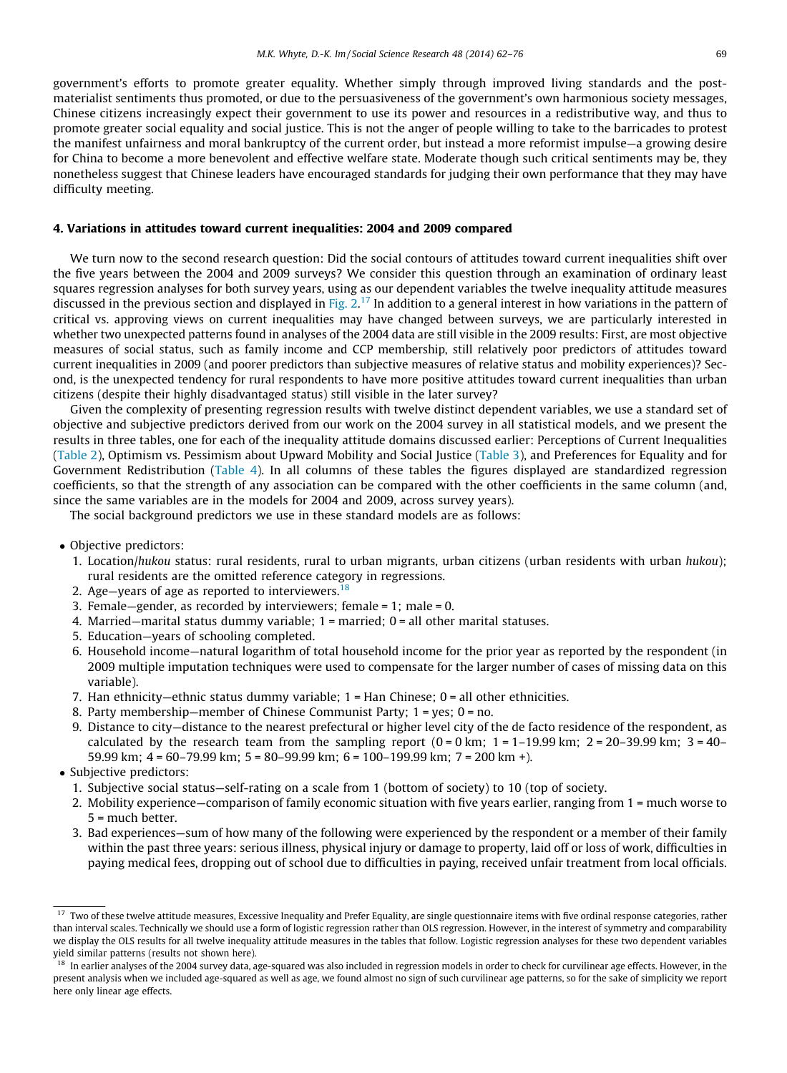government's efforts to promote greater equality. Whether simply through improved living standards and the postmaterialist sentiments thus promoted, or due to the persuasiveness of the government's own harmonious society messages, Chinese citizens increasingly expect their government to use its power and resources in a redistributive way, and thus to promote greater social equality and social justice. This is not the anger of people willing to take to the barricades to protest the manifest unfairness and moral bankruptcy of the current order, but instead a more reformist impulse—a growing desire for China to become a more benevolent and effective welfare state. Moderate though such critical sentiments may be, they nonetheless suggest that Chinese leaders have encouraged standards for judging their own performance that they may have difficulty meeting.

#### 4. Variations in attitudes toward current inequalities: 2004 and 2009 compared

We turn now to the second research question: Did the social contours of attitudes toward current inequalities shift over the five years between the 2004 and 2009 surveys? We consider this question through an examination of ordinary least squares regression analyses for both survey years, using as our dependent variables the twelve inequality attitude measures discussed in the previous section and displayed in [Fig. 2.](#page-4-0)<sup>17</sup> In addition to a general interest in how variations in the pattern of critical vs. approving views on current inequalities may have changed between surveys, we are particularly interested in whether two unexpected patterns found in analyses of the 2004 data are still visible in the 2009 results: First, are most objective measures of social status, such as family income and CCP membership, still relatively poor predictors of attitudes toward current inequalities in 2009 (and poorer predictors than subjective measures of relative status and mobility experiences)? Second, is the unexpected tendency for rural respondents to have more positive attitudes toward current inequalities than urban citizens (despite their highly disadvantaged status) still visible in the later survey?

Given the complexity of presenting regression results with twelve distinct dependent variables, we use a standard set of objective and subjective predictors derived from our work on the 2004 survey in all statistical models, and we present the results in three tables, one for each of the inequality attitude domains discussed earlier: Perceptions of Current Inequalities ([Table 2](#page-8-0)), Optimism vs. Pessimism about Upward Mobility and Social Justice [\(Table 3\)](#page-8-0), and Preferences for Equality and for Government Redistribution ([Table 4\)](#page-9-0). In all columns of these tables the figures displayed are standardized regression coefficients, so that the strength of any association can be compared with the other coefficients in the same column (and, since the same variables are in the models for 2004 and 2009, across survey years).

The social background predictors we use in these standard models are as follows:

- Objective predictors:
	- 1. Location/hukou status: rural residents, rural to urban migrants, urban citizens (urban residents with urban hukou); rural residents are the omitted reference category in regressions.
	- 2. Age-years of age as reported to interviewers. $18$
	- 3. Female—gender, as recorded by interviewers; female = 1; male = 0.
	- 4. Married—marital status dummy variable;  $1 =$  married;  $0 =$  all other marital statuses.
	- 5. Education—years of schooling completed.
	- 6. Household income—natural logarithm of total household income for the prior year as reported by the respondent (in 2009 multiple imputation techniques were used to compensate for the larger number of cases of missing data on this variable).
	- 7. Han ethnicity—ethnic status dummy variable;  $1 =$  Han Chinese;  $0 =$  all other ethnicities.
	- 8. Party membership—member of Chinese Communist Party; 1 = yes; 0 = no.
	- 9. Distance to city—distance to the nearest prefectural or higher level city of the de facto residence of the respondent, as calculated by the research team from the sampling report  $(0 = 0 \text{ km}; 1 = 1-19.99 \text{ km}; 2 = 20-39.99 \text{ km}; 3 = 40-19.99 \text{ km}; 2 = 20-39.99 \text{ km}; 3 = 40-19.99 \text{ km}$ 59.99 km; 4 = 60–79.99 km; 5 = 80–99.99 km; 6 = 100–199.99 km; 7 = 200 km +).
- Subjective predictors:
	- 1. Subjective social status—self-rating on a scale from 1 (bottom of society) to 10 (top of society.
	- 2. Mobility experience—comparison of family economic situation with five years earlier, ranging from 1 = much worse to 5 = much better.
	- 3. Bad experiences—sum of how many of the following were experienced by the respondent or a member of their family within the past three years: serious illness, physical injury or damage to property, laid off or loss of work, difficulties in paying medical fees, dropping out of school due to difficulties in paying, received unfair treatment from local officials.

<sup>&</sup>lt;sup>17</sup> Two of these twelve attitude measures, Excessive Inequality and Prefer Equality, are single questionnaire items with five ordinal response categories, rather than interval scales. Technically we should use a form of logistic regression rather than OLS regression. However, in the interest of symmetry and comparability we display the OLS results for all twelve inequality attitude measures in the tables that follow. Logistic regression analyses for these two dependent variables yield similar patterns (results not shown here).

<sup>&</sup>lt;sup>18</sup> In earlier analyses of the 2004 survey data, age-squared was also included in regression models in order to check for curvilinear age effects. However, in the present analysis when we included age-squared as well as age, we found almost no sign of such curvilinear age patterns, so for the sake of simplicity we report here only linear age effects.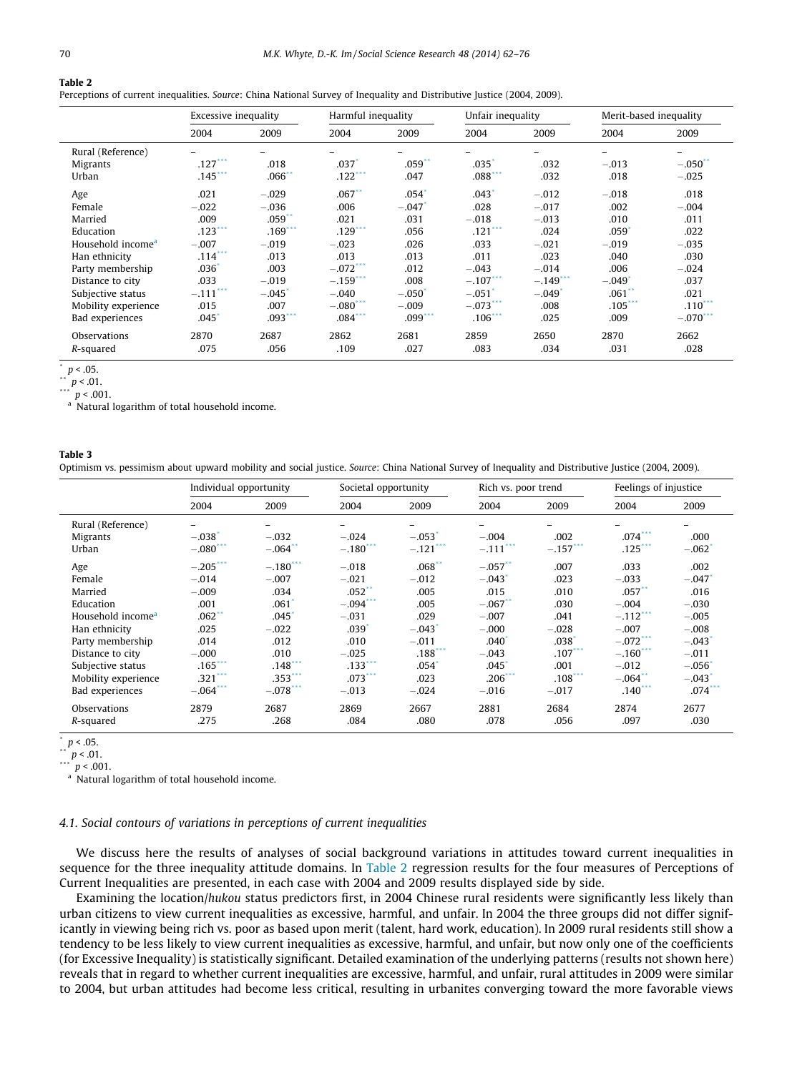### <span id="page-8-0"></span>Table 2

Perceptions of current inequalities. Source: China National Survey of Inequality and Distributive Justice (2004, 2009).

|                               | Excessive inequality |           | Harmful inequality      |                      | Unfair inequality   |             | Merit-based inequality |             |
|-------------------------------|----------------------|-----------|-------------------------|----------------------|---------------------|-------------|------------------------|-------------|
|                               | 2004                 | 2009      | 2004                    | 2009                 | 2004                | 2009        | 2004                   | 2009        |
| Rural (Reference)             |                      |           |                         |                      |                     |             |                        |             |
| <b>Migrants</b>               | $.127***$            | .018      | .037                    | $.059$ **            | .035                | .032        | $-.013$                | $-.050$ **  |
| Urban                         | $.145$ ***           | .066      | $.122$ ***              | .047                 | .088                | .032        | .018                   | $-.025$     |
| Age                           | .021                 | $-.029$   | $.067$ <sup>**</sup>    | .054"                | $.043$ <sup>*</sup> | $-.012$     | $-.018$                | .018        |
| Female                        | $-.022$              | $-.036$   | .006                    | $-.047$ <sup>*</sup> | .028                | $-.017$     | .002                   | $-.004$     |
| Married                       | .009                 | .059      | .021                    | .031                 | $-.018$             | $-.013$     | .010                   | .011        |
| Education                     | $.123***$            | $.169***$ | $.129***$               | .056                 | $.121***$           | .024        | .059                   | .022        |
| Household income <sup>a</sup> | $-.007$              | $-.019$   | $-.023$                 | .026                 | .033                | $-.021$     | $-.019$                | $-.035$     |
| Han ethnicity                 | $.114$ ***           | .013      | .013                    | .013                 | .011                | .023        | .040                   | .030        |
| Party membership              | .036                 | .003      | $-.072$ <sup>****</sup> | .012                 | $-.043$             | $-.014$     | .006                   | $-.024$     |
| Distance to city              | .033                 | $-.019$   | $-.159$ ***             | .008                 | $-.107$ ***         | $-.149$ *** | $-.049"$               | .037        |
| Subjective status             | $-.111$              | $-.045"$  | $-.040$                 | $-.050"$             | $-.051"$            | $-.049$     | .061                   | .021        |
| Mobility experience           | .015                 | .007      | $-.080$                 | $-.009$              | $-.073$ ***         | .008        | $.105***$              | .110        |
| Bad experiences               | .045                 | $.093***$ | $.084***$               | $.099***$            | $.106***$           | .025        | .009                   | $-.070$ *** |
| Observations                  | 2870                 | 2687      | 2862                    | 2681                 | 2859                | 2650        | 2870                   | 2662        |
| R-squared                     | .075                 | .056      | .109                    | .027                 | .083                | .034        | .031                   | .028        |

 $p < .05$ .

\*\*  $p < .03$ .

 $p < .001$ .

<sup>a</sup> Natural logarithm of total household income.

#### Table 3

Optimism vs. pessimism about upward mobility and social justice. Source: China National Survey of Inequality and Distributive Justice (2004, 2009).

|                               | Individual opportunity |                        | Societal opportunity    |                     | Rich vs. poor trend     |             | Feelings of injustice  |           |
|-------------------------------|------------------------|------------------------|-------------------------|---------------------|-------------------------|-------------|------------------------|-----------|
|                               | 2004                   | 2009                   | 2004                    | 2009                | 2004                    | 2009        | 2004                   | 2009      |
| Rural (Reference)             |                        |                        |                         |                     |                         |             |                        |           |
| <b>Migrants</b>               | $-.038$                | $-.032$                | $-.024$                 | $-.053"$            | $-.004$                 | .002        | $.074$ ***             | .000      |
| Urban                         | $-.080***$             | $-.064$ **             | $-.180$ <sup>****</sup> | $-.121$ $$          | $-.111$ <sup>****</sup> | $-.157$ *** | $.125***$              | $-.062"$  |
| Age                           | $-.205***$             | $-.180$ <sup>***</sup> | $-.018$                 | .068                | $-.057$ **              | .007        | .033                   | .002      |
| Female                        | $-.014$                | $-.007$                | $-.021$                 | $-.012$             | $-.043"$                | .023        | $-.033$                | $-.047$   |
| Married                       | $-.009$                | .034                   | $.052$ **               | .005                | .015                    | .010        | $.057$ **              | .016      |
| Education                     | .001                   | .061                   | $-.094$ ***             | .005                | $-.067$ **              | .030        | $-.004$                | $-.030$   |
| Household income <sup>a</sup> | $.062$ <sup>**</sup>   | .045                   | $-.031$                 | .029                | $-.007$                 | .041        | $-.112$ ***            | $-.005$   |
| Han ethnicity                 | .025                   | $-.022$                | .039                    | $-.043$             | $-.000$                 | $-.028$     | $-.007$                | $-.008$   |
| Party membership              | .014                   | .012                   | .010                    | $-.011$             | $.040*$                 | .038        | $-.072$ ***            | $-.043"$  |
| Distance to city              | $-.000$                | .010                   | $-.025$                 | .188                | $-.043$                 | .107        | $-.160$ <sup>***</sup> | $-.011$   |
| Subjective status             | $.165***$              | .148                   | $.133***$               | $.054$ <sup>*</sup> | $.045*$                 | .001        | $-.012$                | $-.056"$  |
| Mobility experience           | $.321***$              | .353                   | $.073***$               | .023                | $.206***$               | .108        | $-.064"$               | $-.043"$  |
| Bad experiences               | $-.064$                | $-.078$ ***            | $-.013$                 | $-.024$             | $-.016$                 | $-.017$     | .140                   | $.074***$ |
| Observations                  | 2879                   | 2687                   | 2869                    | 2667                | 2881                    | 2684        | 2874                   | 2677      |
| R-squared                     | .275                   | .268                   | .084                    | .080                | .078                    | .056        | .097                   | .030      |

 $p < .05$ .

\*\*  $p < .01$ .

 $p < .001$ .

<sup>a</sup> Natural logarithm of total household income.

# 4.1. Social contours of variations in perceptions of current inequalities

We discuss here the results of analyses of social background variations in attitudes toward current inequalities in sequence for the three inequality attitude domains. In Table 2 regression results for the four measures of Perceptions of Current Inequalities are presented, in each case with 2004 and 2009 results displayed side by side.

Examining the location/hukou status predictors first, in 2004 Chinese rural residents were significantly less likely than urban citizens to view current inequalities as excessive, harmful, and unfair. In 2004 the three groups did not differ significantly in viewing being rich vs. poor as based upon merit (talent, hard work, education). In 2009 rural residents still show a tendency to be less likely to view current inequalities as excessive, harmful, and unfair, but now only one of the coefficients (for Excessive Inequality) is statistically significant. Detailed examination of the underlying patterns (results not shown here) reveals that in regard to whether current inequalities are excessive, harmful, and unfair, rural attitudes in 2009 were similar to 2004, but urban attitudes had become less critical, resulting in urbanites converging toward the more favorable views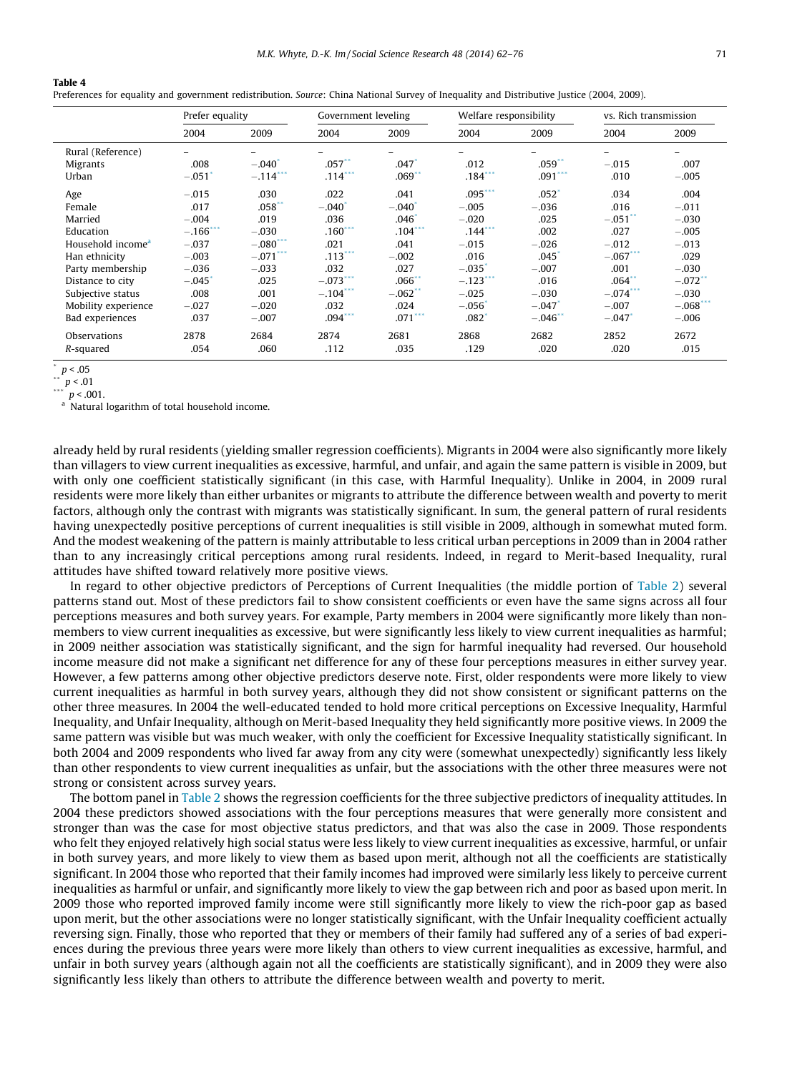#### <span id="page-9-0"></span>Table 4

Preferences for equality and government redistribution. Source: China National Survey of Inequality and Distributive Justice (2004, 2009).

|                               | Prefer equality |                         | Government leveling |            | Welfare responsibility |                      | vs. Rich transmission |            |
|-------------------------------|-----------------|-------------------------|---------------------|------------|------------------------|----------------------|-----------------------|------------|
|                               | 2004            | 2009                    | 2004                | 2009       | 2004                   | 2009                 | 2004                  | 2009       |
| Rural (Reference)             |                 |                         |                     |            |                        |                      |                       |            |
| <b>Migrants</b>               | .008            | $-.040"$                | $.057$ **           | .047       | .012                   | $.059**$             | $-.015$               | .007       |
| Urban                         | $-.051$         | $-.114$ <sup>****</sup> | $.114***$           | $.069**$   | .184                   | $.091***$            | .010                  | $-.005$    |
| Age                           | $-.015$         | .030                    | .022                | .041       | $.095***$              | $.052$ <sup>*</sup>  | .034                  | .004       |
| Female                        | .017            | $.058**$                | $-.040"$            | $-.040"$   | $-.005$                | $-.036$              | .016                  | $-.011$    |
| Married                       | $-.004$         | .019                    | .036                | $.046*$    | $-.020$                | .025                 | $-.051$ **            | $-.030$    |
| Education                     | $-.166$ ***     | $-.030$                 | $.160***$           | $.104***$  | $.144***$              | .002                 | .027                  | $-.005$    |
| Household income <sup>a</sup> | $-.037$         | $-.080$ ***             | .021                | .041       | $-.015$                | $-.026$              | $-.012$               | $-.013$    |
| Han ethnicity                 | $-.003$         | $-.071$ ***             | $.113***$           | $-.002$    | .016                   | .045                 | $-.067$ ***           | .029       |
| Party membership              | $-.036$         | $-.033$                 | .032                | .027       | $-.035"$               | $-.007$              | .001                  | $-.030$    |
| Distance to city              | $-.045$         | .025                    | $-.073$ ***         | .066       | $-.123$ ***            | .016                 | .064                  | $-.072$ ** |
| Subjective status             | .008            | .001                    | $-.104$ $1.1$       | $-.062$ ** | $-.025$                | $-.030$              | $-.074$ ***           | $-.030$    |
| Mobility experience           | $-.027$         | $-.020$                 | .032                | .024       | $-.056"$               | $-.047$ <sup>*</sup> | $-.007$               | $-.068$    |
| Bad experiences               | .037            | $-.007$                 | $.094***$           | $.071***$  | $.082$ <sup>*</sup>    | $-.046$ **           | $-.047$ <sup>*</sup>  | $-.006$    |
| Observations                  | 2878            | 2684                    | 2874                | 2681       | 2868                   | 2682                 | 2852                  | 2672       |
| R-squared                     | .054            | .060                    | .112                | .035       | .129                   | .020                 | .020                  | .015       |

# $p < .05$

 $\frac{1}{2}$  p < .01

 $n < .001$ .

<sup>a</sup> Natural logarithm of total household income.

already held by rural residents (yielding smaller regression coefficients). Migrants in 2004 were also significantly more likely than villagers to view current inequalities as excessive, harmful, and unfair, and again the same pattern is visible in 2009, but with only one coefficient statistically significant (in this case, with Harmful Inequality). Unlike in 2004, in 2009 rural residents were more likely than either urbanites or migrants to attribute the difference between wealth and poverty to merit factors, although only the contrast with migrants was statistically significant. In sum, the general pattern of rural residents having unexpectedly positive perceptions of current inequalities is still visible in 2009, although in somewhat muted form. And the modest weakening of the pattern is mainly attributable to less critical urban perceptions in 2009 than in 2004 rather than to any increasingly critical perceptions among rural residents. Indeed, in regard to Merit-based Inequality, rural attitudes have shifted toward relatively more positive views.

In regard to other objective predictors of Perceptions of Current Inequalities (the middle portion of [Table 2\)](#page-8-0) several patterns stand out. Most of these predictors fail to show consistent coefficients or even have the same signs across all four perceptions measures and both survey years. For example, Party members in 2004 were significantly more likely than nonmembers to view current inequalities as excessive, but were significantly less likely to view current inequalities as harmful; in 2009 neither association was statistically significant, and the sign for harmful inequality had reversed. Our household income measure did not make a significant net difference for any of these four perceptions measures in either survey year. However, a few patterns among other objective predictors deserve note. First, older respondents were more likely to view current inequalities as harmful in both survey years, although they did not show consistent or significant patterns on the other three measures. In 2004 the well-educated tended to hold more critical perceptions on Excessive Inequality, Harmful Inequality, and Unfair Inequality, although on Merit-based Inequality they held significantly more positive views. In 2009 the same pattern was visible but was much weaker, with only the coefficient for Excessive Inequality statistically significant. In both 2004 and 2009 respondents who lived far away from any city were (somewhat unexpectedly) significantly less likely than other respondents to view current inequalities as unfair, but the associations with the other three measures were not strong or consistent across survey years.

The bottom panel in [Table 2](#page-8-0) shows the regression coefficients for the three subjective predictors of inequality attitudes. In 2004 these predictors showed associations with the four perceptions measures that were generally more consistent and stronger than was the case for most objective status predictors, and that was also the case in 2009. Those respondents who felt they enjoyed relatively high social status were less likely to view current inequalities as excessive, harmful, or unfair in both survey years, and more likely to view them as based upon merit, although not all the coefficients are statistically significant. In 2004 those who reported that their family incomes had improved were similarly less likely to perceive current inequalities as harmful or unfair, and significantly more likely to view the gap between rich and poor as based upon merit. In 2009 those who reported improved family income were still significantly more likely to view the rich-poor gap as based upon merit, but the other associations were no longer statistically significant, with the Unfair Inequality coefficient actually reversing sign. Finally, those who reported that they or members of their family had suffered any of a series of bad experiences during the previous three years were more likely than others to view current inequalities as excessive, harmful, and unfair in both survey years (although again not all the coefficients are statistically significant), and in 2009 they were also significantly less likely than others to attribute the difference between wealth and poverty to merit.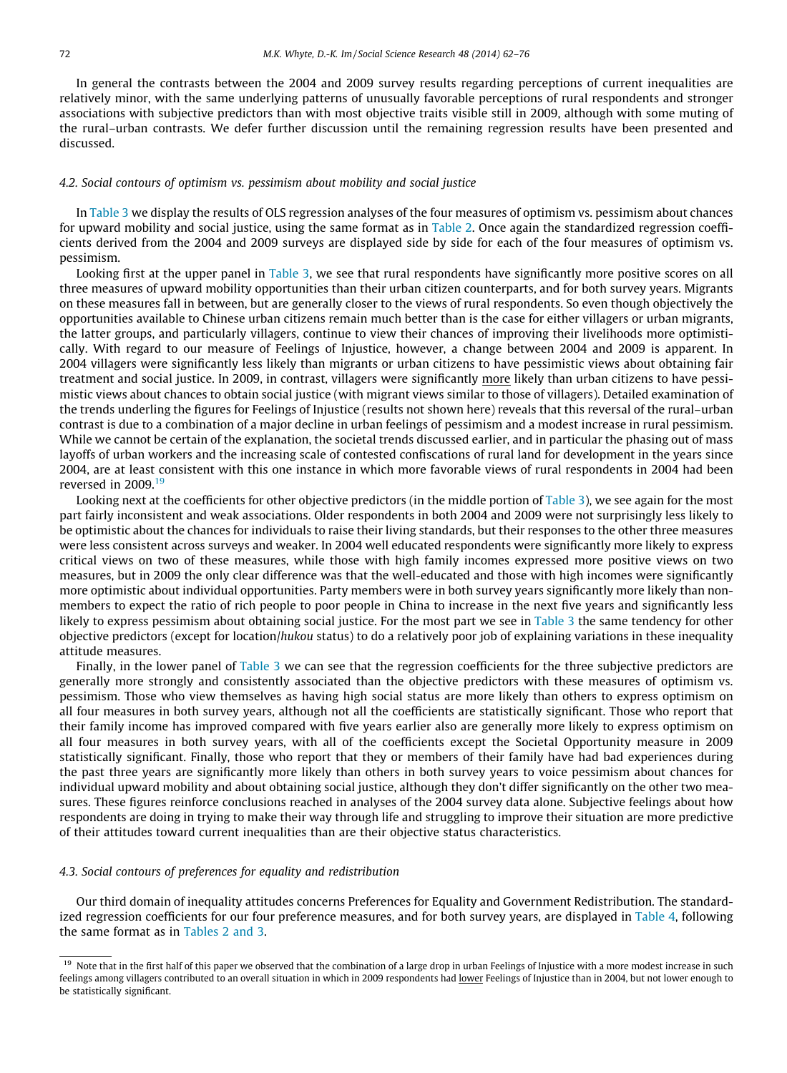In general the contrasts between the 2004 and 2009 survey results regarding perceptions of current inequalities are relatively minor, with the same underlying patterns of unusually favorable perceptions of rural respondents and stronger associations with subjective predictors than with most objective traits visible still in 2009, although with some muting of the rural–urban contrasts. We defer further discussion until the remaining regression results have been presented and discussed.

#### 4.2. Social contours of optimism vs. pessimism about mobility and social justice

In [Table 3](#page-8-0) we display the results of OLS regression analyses of the four measures of optimism vs. pessimism about chances for upward mobility and social justice, using the same format as in [Table 2.](#page-8-0) Once again the standardized regression coefficients derived from the 2004 and 2009 surveys are displayed side by side for each of the four measures of optimism vs. pessimism.

Looking first at the upper panel in [Table 3](#page-8-0), we see that rural respondents have significantly more positive scores on all three measures of upward mobility opportunities than their urban citizen counterparts, and for both survey years. Migrants on these measures fall in between, but are generally closer to the views of rural respondents. So even though objectively the opportunities available to Chinese urban citizens remain much better than is the case for either villagers or urban migrants, the latter groups, and particularly villagers, continue to view their chances of improving their livelihoods more optimistically. With regard to our measure of Feelings of Injustice, however, a change between 2004 and 2009 is apparent. In 2004 villagers were significantly less likely than migrants or urban citizens to have pessimistic views about obtaining fair treatment and social justice. In 2009, in contrast, villagers were significantly more likely than urban citizens to have pessimistic views about chances to obtain social justice (with migrant views similar to those of villagers). Detailed examination of the trends underling the figures for Feelings of Injustice (results not shown here) reveals that this reversal of the rural–urban contrast is due to a combination of a major decline in urban feelings of pessimism and a modest increase in rural pessimism. While we cannot be certain of the explanation, the societal trends discussed earlier, and in particular the phasing out of mass layoffs of urban workers and the increasing scale of contested confiscations of rural land for development in the years since 2004, are at least consistent with this one instance in which more favorable views of rural respondents in 2004 had been reversed in 2009.<sup>19</sup>

Looking next at the coefficients for other objective predictors (in the middle portion of [Table 3\)](#page-8-0), we see again for the most part fairly inconsistent and weak associations. Older respondents in both 2004 and 2009 were not surprisingly less likely to be optimistic about the chances for individuals to raise their living standards, but their responses to the other three measures were less consistent across surveys and weaker. In 2004 well educated respondents were significantly more likely to express critical views on two of these measures, while those with high family incomes expressed more positive views on two measures, but in 2009 the only clear difference was that the well-educated and those with high incomes were significantly more optimistic about individual opportunities. Party members were in both survey years significantly more likely than nonmembers to expect the ratio of rich people to poor people in China to increase in the next five years and significantly less likely to express pessimism about obtaining social justice. For the most part we see in [Table 3](#page-8-0) the same tendency for other objective predictors (except for location/hukou status) to do a relatively poor job of explaining variations in these inequality attitude measures.

Finally, in the lower panel of [Table 3](#page-8-0) we can see that the regression coefficients for the three subjective predictors are generally more strongly and consistently associated than the objective predictors with these measures of optimism vs. pessimism. Those who view themselves as having high social status are more likely than others to express optimism on all four measures in both survey years, although not all the coefficients are statistically significant. Those who report that their family income has improved compared with five years earlier also are generally more likely to express optimism on all four measures in both survey years, with all of the coefficients except the Societal Opportunity measure in 2009 statistically significant. Finally, those who report that they or members of their family have had bad experiences during the past three years are significantly more likely than others in both survey years to voice pessimism about chances for individual upward mobility and about obtaining social justice, although they don't differ significantly on the other two measures. These figures reinforce conclusions reached in analyses of the 2004 survey data alone. Subjective feelings about how respondents are doing in trying to make their way through life and struggling to improve their situation are more predictive of their attitudes toward current inequalities than are their objective status characteristics.

#### 4.3. Social contours of preferences for equality and redistribution

Our third domain of inequality attitudes concerns Preferences for Equality and Government Redistribution. The standard-ized regression coefficients for our four preference measures, and for both survey years, are displayed in [Table 4](#page-9-0), following the same format as in [Tables 2 and 3.](#page-8-0)

<sup>&</sup>lt;sup>19</sup> Note that in the first half of this paper we observed that the combination of a large drop in urban Feelings of Injustice with a more modest increase in such feelings among villagers contributed to an overall situation in which in 2009 respondents had lower Feelings of Injustice than in 2004, but not lower enough to be statistically significant.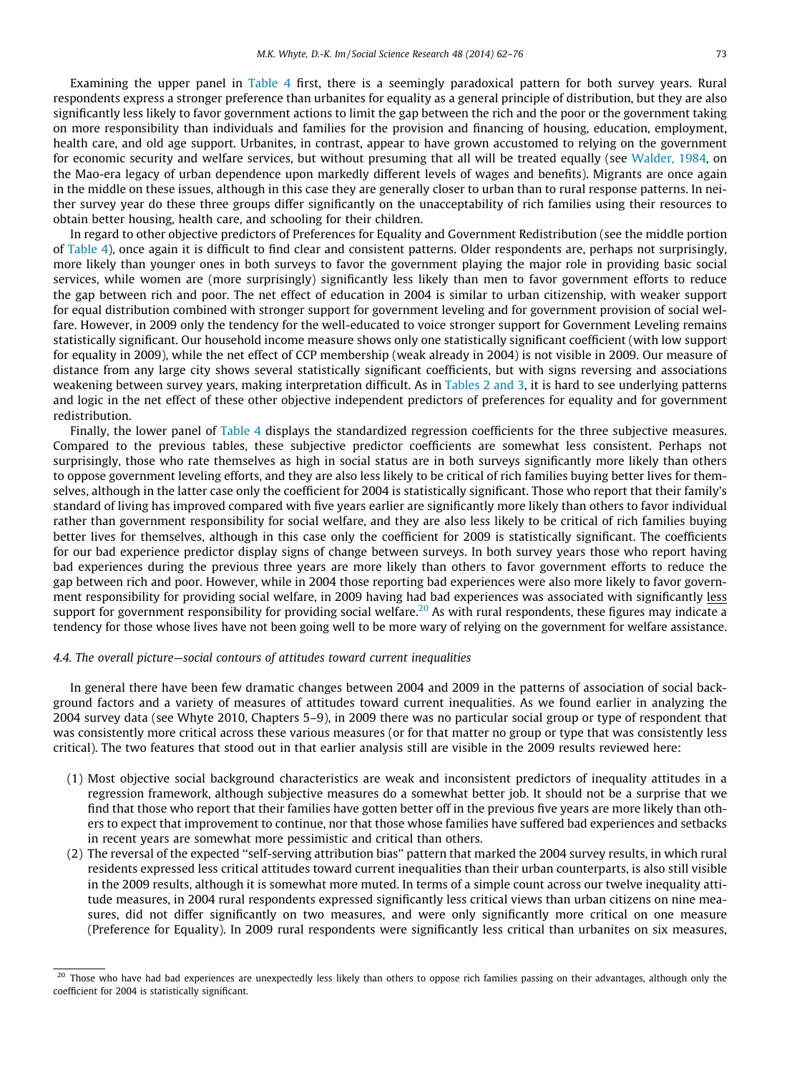Examining the upper panel in [Table 4](#page-9-0) first, there is a seemingly paradoxical pattern for both survey years. Rural respondents express a stronger preference than urbanites for equality as a general principle of distribution, but they are also significantly less likely to favor government actions to limit the gap between the rich and the poor or the government taking on more responsibility than individuals and families for the provision and financing of housing, education, employment, health care, and old age support. Urbanites, in contrast, appear to have grown accustomed to relying on the government for economic security and welfare services, but without presuming that all will be treated equally (see [Walder, 1984,](#page-14-0) on the Mao-era legacy of urban dependence upon markedly different levels of wages and benefits). Migrants are once again in the middle on these issues, although in this case they are generally closer to urban than to rural response patterns. In neither survey year do these three groups differ significantly on the unacceptability of rich families using their resources to obtain better housing, health care, and schooling for their children.

In regard to other objective predictors of Preferences for Equality and Government Redistribution (see the middle portion of [Table 4\)](#page-9-0), once again it is difficult to find clear and consistent patterns. Older respondents are, perhaps not surprisingly, more likely than younger ones in both surveys to favor the government playing the major role in providing basic social services, while women are (more surprisingly) significantly less likely than men to favor government efforts to reduce the gap between rich and poor. The net effect of education in 2004 is similar to urban citizenship, with weaker support for equal distribution combined with stronger support for government leveling and for government provision of social welfare. However, in 2009 only the tendency for the well-educated to voice stronger support for Government Leveling remains statistically significant. Our household income measure shows only one statistically significant coefficient (with low support for equality in 2009), while the net effect of CCP membership (weak already in 2004) is not visible in 2009. Our measure of distance from any large city shows several statistically significant coefficients, but with signs reversing and associations weakening between survey years, making interpretation difficult. As in [Tables 2 and 3,](#page-8-0) it is hard to see underlying patterns and logic in the net effect of these other objective independent predictors of preferences for equality and for government redistribution.

Finally, the lower panel of [Table 4](#page-9-0) displays the standardized regression coefficients for the three subjective measures. Compared to the previous tables, these subjective predictor coefficients are somewhat less consistent. Perhaps not surprisingly, those who rate themselves as high in social status are in both surveys significantly more likely than others to oppose government leveling efforts, and they are also less likely to be critical of rich families buying better lives for themselves, although in the latter case only the coefficient for 2004 is statistically significant. Those who report that their family's standard of living has improved compared with five years earlier are significantly more likely than others to favor individual rather than government responsibility for social welfare, and they are also less likely to be critical of rich families buying better lives for themselves, although in this case only the coefficient for 2009 is statistically significant. The coefficients for our bad experience predictor display signs of change between surveys. In both survey years those who report having bad experiences during the previous three years are more likely than others to favor government efforts to reduce the gap between rich and poor. However, while in 2004 those reporting bad experiences were also more likely to favor government responsibility for providing social welfare, in 2009 having had bad experiences was associated with significantly less support for government responsibility for providing social welfare.<sup>20</sup> As with rural respondents, these figures may indicate a tendency for those whose lives have not been going well to be more wary of relying on the government for welfare assistance.

#### 4.4. The overall picture—social contours of attitudes toward current inequalities

In general there have been few dramatic changes between 2004 and 2009 in the patterns of association of social background factors and a variety of measures of attitudes toward current inequalities. As we found earlier in analyzing the 2004 survey data (see Whyte 2010, Chapters 5–9), in 2009 there was no particular social group or type of respondent that was consistently more critical across these various measures (or for that matter no group or type that was consistently less critical). The two features that stood out in that earlier analysis still are visible in the 2009 results reviewed here:

- (1) Most objective social background characteristics are weak and inconsistent predictors of inequality attitudes in a regression framework, although subjective measures do a somewhat better job. It should not be a surprise that we find that those who report that their families have gotten better off in the previous five years are more likely than others to expect that improvement to continue, nor that those whose families have suffered bad experiences and setbacks in recent years are somewhat more pessimistic and critical than others.
- (2) The reversal of the expected ''self-serving attribution bias'' pattern that marked the 2004 survey results, in which rural residents expressed less critical attitudes toward current inequalities than their urban counterparts, is also still visible in the 2009 results, although it is somewhat more muted. In terms of a simple count across our twelve inequality attitude measures, in 2004 rural respondents expressed significantly less critical views than urban citizens on nine measures, did not differ significantly on two measures, and were only significantly more critical on one measure (Preference for Equality). In 2009 rural respondents were significantly less critical than urbanites on six measures,

<sup>&</sup>lt;sup>20</sup> Those who have had bad experiences are unexpectedly less likely than others to oppose rich families passing on their advantages, although only the coefficient for 2004 is statistically significant.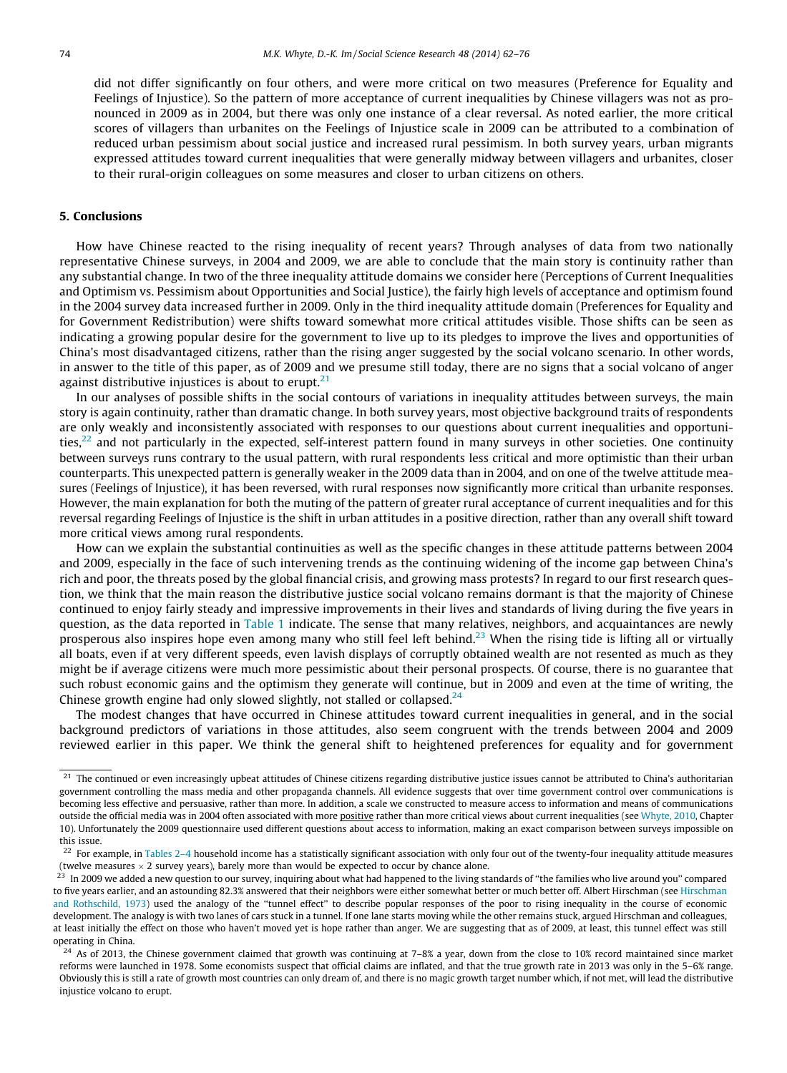did not differ significantly on four others, and were more critical on two measures (Preference for Equality and Feelings of Injustice). So the pattern of more acceptance of current inequalities by Chinese villagers was not as pronounced in 2009 as in 2004, but there was only one instance of a clear reversal. As noted earlier, the more critical scores of villagers than urbanites on the Feelings of Injustice scale in 2009 can be attributed to a combination of reduced urban pessimism about social justice and increased rural pessimism. In both survey years, urban migrants expressed attitudes toward current inequalities that were generally midway between villagers and urbanites, closer to their rural-origin colleagues on some measures and closer to urban citizens on others.

## 5. Conclusions

How have Chinese reacted to the rising inequality of recent years? Through analyses of data from two nationally representative Chinese surveys, in 2004 and 2009, we are able to conclude that the main story is continuity rather than any substantial change. In two of the three inequality attitude domains we consider here (Perceptions of Current Inequalities and Optimism vs. Pessimism about Opportunities and Social Justice), the fairly high levels of acceptance and optimism found in the 2004 survey data increased further in 2009. Only in the third inequality attitude domain (Preferences for Equality and for Government Redistribution) were shifts toward somewhat more critical attitudes visible. Those shifts can be seen as indicating a growing popular desire for the government to live up to its pledges to improve the lives and opportunities of China's most disadvantaged citizens, rather than the rising anger suggested by the social volcano scenario. In other words, in answer to the title of this paper, as of 2009 and we presume still today, there are no signs that a social volcano of anger against distributive injustices is about to erupt.<sup>21</sup>

In our analyses of possible shifts in the social contours of variations in inequality attitudes between surveys, the main story is again continuity, rather than dramatic change. In both survey years, most objective background traits of respondents are only weakly and inconsistently associated with responses to our questions about current inequalities and opportunities, $^{22}$  and not particularly in the expected, self-interest pattern found in many surveys in other societies. One continuity between surveys runs contrary to the usual pattern, with rural respondents less critical and more optimistic than their urban counterparts. This unexpected pattern is generally weaker in the 2009 data than in 2004, and on one of the twelve attitude measures (Feelings of Injustice), it has been reversed, with rural responses now significantly more critical than urbanite responses. However, the main explanation for both the muting of the pattern of greater rural acceptance of current inequalities and for this reversal regarding Feelings of Injustice is the shift in urban attitudes in a positive direction, rather than any overall shift toward more critical views among rural respondents.

How can we explain the substantial continuities as well as the specific changes in these attitude patterns between 2004 and 2009, especially in the face of such intervening trends as the continuing widening of the income gap between China's rich and poor, the threats posed by the global financial crisis, and growing mass protests? In regard to our first research question, we think that the main reason the distributive justice social volcano remains dormant is that the majority of Chinese continued to enjoy fairly steady and impressive improvements in their lives and standards of living during the five years in question, as the data reported in [Table 1](#page-3-0) indicate. The sense that many relatives, neighbors, and acquaintances are newly prosperous also inspires hope even among many who still feel left behind.23 When the rising tide is lifting all or virtually all boats, even if at very different speeds, even lavish displays of corruptly obtained wealth are not resented as much as they might be if average citizens were much more pessimistic about their personal prospects. Of course, there is no guarantee that such robust economic gains and the optimism they generate will continue, but in 2009 and even at the time of writing, the Chinese growth engine had only slowed slightly, not stalled or collapsed. $24$ 

The modest changes that have occurred in Chinese attitudes toward current inequalities in general, and in the social background predictors of variations in those attitudes, also seem congruent with the trends between 2004 and 2009 reviewed earlier in this paper. We think the general shift to heightened preferences for equality and for government

The continued or even increasingly upbeat attitudes of Chinese citizens regarding distributive justice issues cannot be attributed to China's authoritarian government controlling the mass media and other propaganda channels. All evidence suggests that over time government control over communications is becoming less effective and persuasive, rather than more. In addition, a scale we constructed to measure access to information and means of communications outside the official media was in 2004 often associated with more positive rather than more critical views about current inequalities (see [Whyte, 2010](#page-14-0), Chapter 10). Unfortunately the 2009 questionnaire used different questions about access to information, making an exact comparison between surveys impossible on this issue.

 $22$  For example, in Tables 2-4 household income has a statistically significant association with only four out of the twenty-four inequality attitude measures (twelve measures  $\times$  2 survey years), barely more than would be expected to occur by chance alone.

<sup>&</sup>lt;sup>23</sup> In 2009 we added a new question to our survey, inquiring about what had happened to the living standards of "the families who live around you" compared to five years earlier, and an astounding 82.3% answered that their neighbors were either somewhat better or much better off. Albert [Hirschman](#page-14-0) (see Hirschman [and Rothschild, 1973](#page-14-0)) used the analogy of the ''tunnel effect'' to describe popular responses of the poor to rising inequality in the course of economic development. The analogy is with two lanes of cars stuck in a tunnel. If one lane starts moving while the other remains stuck, argued Hirschman and colleagues, at least initially the effect on those who haven't moved yet is hope rather than anger. We are suggesting that as of 2009, at least, this tunnel effect was still operating in China.

<sup>&</sup>lt;sup>24</sup> As of 2013, the Chinese government claimed that growth was continuing at 7-8% a year, down from the close to 10% record maintained since market reforms were launched in 1978. Some economists suspect that official claims are inflated, and that the true growth rate in 2013 was only in the 5–6% range. Obviously this is still a rate of growth most countries can only dream of, and there is no magic growth target number which, if not met, will lead the distributive injustice volcano to erupt.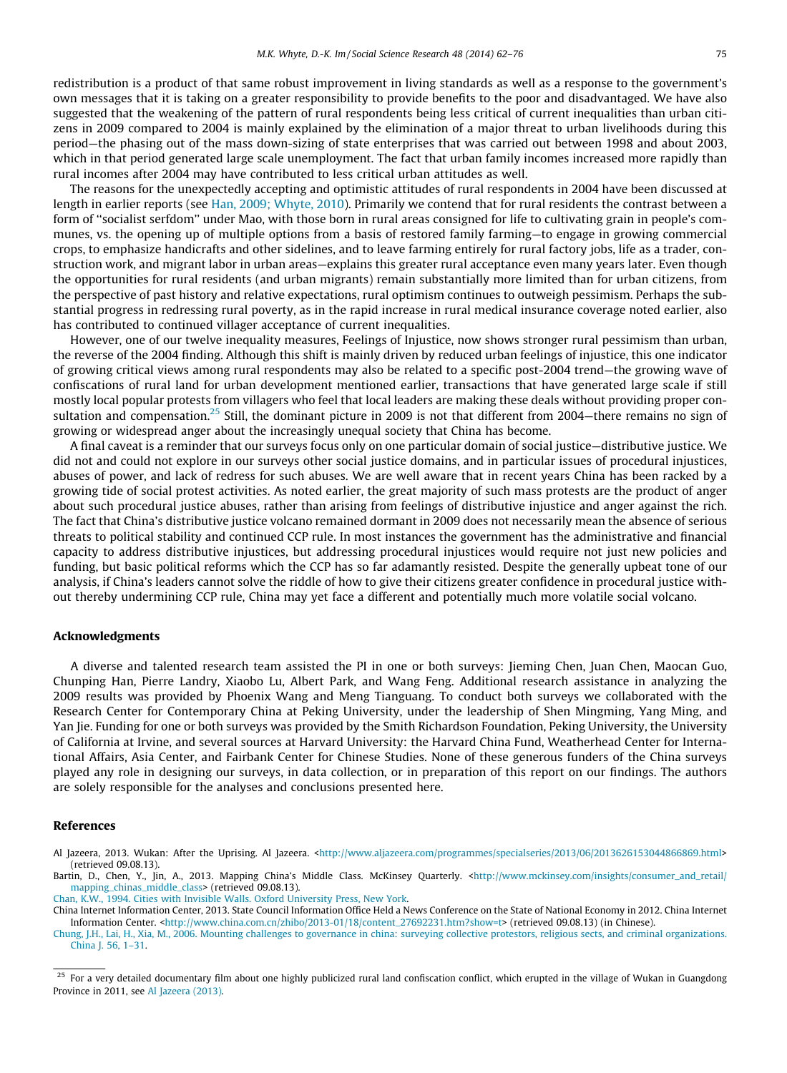<span id="page-13-0"></span>redistribution is a product of that same robust improvement in living standards as well as a response to the government's own messages that it is taking on a greater responsibility to provide benefits to the poor and disadvantaged. We have also suggested that the weakening of the pattern of rural respondents being less critical of current inequalities than urban citizens in 2009 compared to 2004 is mainly explained by the elimination of a major threat to urban livelihoods during this period—the phasing out of the mass down-sizing of state enterprises that was carried out between 1998 and about 2003, which in that period generated large scale unemployment. The fact that urban family incomes increased more rapidly than rural incomes after 2004 may have contributed to less critical urban attitudes as well.

The reasons for the unexpectedly accepting and optimistic attitudes of rural respondents in 2004 have been discussed at length in earlier reports (see [Han, 2009; Whyte, 2010](#page-14-0)). Primarily we contend that for rural residents the contrast between a form of ''socialist serfdom'' under Mao, with those born in rural areas consigned for life to cultivating grain in people's communes, vs. the opening up of multiple options from a basis of restored family farming—to engage in growing commercial crops, to emphasize handicrafts and other sidelines, and to leave farming entirely for rural factory jobs, life as a trader, construction work, and migrant labor in urban areas—explains this greater rural acceptance even many years later. Even though the opportunities for rural residents (and urban migrants) remain substantially more limited than for urban citizens, from the perspective of past history and relative expectations, rural optimism continues to outweigh pessimism. Perhaps the substantial progress in redressing rural poverty, as in the rapid increase in rural medical insurance coverage noted earlier, also has contributed to continued villager acceptance of current inequalities.

However, one of our twelve inequality measures, Feelings of Injustice, now shows stronger rural pessimism than urban, the reverse of the 2004 finding. Although this shift is mainly driven by reduced urban feelings of injustice, this one indicator of growing critical views among rural respondents may also be related to a specific post-2004 trend—the growing wave of confiscations of rural land for urban development mentioned earlier, transactions that have generated large scale if still mostly local popular protests from villagers who feel that local leaders are making these deals without providing proper consultation and compensation.<sup>25</sup> Still, the dominant picture in 2009 is not that different from 2004—there remains no sign of growing or widespread anger about the increasingly unequal society that China has become.

A final caveat is a reminder that our surveys focus only on one particular domain of social justice—distributive justice. We did not and could not explore in our surveys other social justice domains, and in particular issues of procedural injustices, abuses of power, and lack of redress for such abuses. We are well aware that in recent years China has been racked by a growing tide of social protest activities. As noted earlier, the great majority of such mass protests are the product of anger about such procedural justice abuses, rather than arising from feelings of distributive injustice and anger against the rich. The fact that China's distributive justice volcano remained dormant in 2009 does not necessarily mean the absence of serious threats to political stability and continued CCP rule. In most instances the government has the administrative and financial capacity to address distributive injustices, but addressing procedural injustices would require not just new policies and funding, but basic political reforms which the CCP has so far adamantly resisted. Despite the generally upbeat tone of our analysis, if China's leaders cannot solve the riddle of how to give their citizens greater confidence in procedural justice without thereby undermining CCP rule, China may yet face a different and potentially much more volatile social volcano.

#### Acknowledgments

A diverse and talented research team assisted the PI in one or both surveys: Jieming Chen, Juan Chen, Maocan Guo, Chunping Han, Pierre Landry, Xiaobo Lu, Albert Park, and Wang Feng. Additional research assistance in analyzing the 2009 results was provided by Phoenix Wang and Meng Tianguang. To conduct both surveys we collaborated with the Research Center for Contemporary China at Peking University, under the leadership of Shen Mingming, Yang Ming, and Yan Jie. Funding for one or both surveys was provided by the Smith Richardson Foundation, Peking University, the University of California at Irvine, and several sources at Harvard University: the Harvard China Fund, Weatherhead Center for International Affairs, Asia Center, and Fairbank Center for Chinese Studies. None of these generous funders of the China surveys played any role in designing our surveys, in data collection, or in preparation of this report on our findings. The authors are solely responsible for the analyses and conclusions presented here.

# References

Al Jazeera, 2013. Wukan: After the Uprising. Al Jazeera. <<http://www.aljazeera.com/programmes/specialseries/2013/06/2013626153044866869.html>> (retrieved 09.08.13).

Bartin, D., Chen, Y., Jin, A., 2013. Mapping China's Middle Class. McKinsey Quarterly. <[http://www.mckinsey.com/insights/consumer\\_and\\_retail/](http://www.mckinsey.com/insights/consumer_and_retail/mapping_chinas_middle_class) [mapping\\_chinas\\_middle\\_class](http://www.mckinsey.com/insights/consumer_and_retail/mapping_chinas_middle_class)> (retrieved 09.08.13).

[Chan, K.W., 1994. Cities with Invisible Walls. Oxford University Press, New York](http://refhub.elsevier.com/S0049-089X(14)00106-9/h0015).

China Internet Information Center, 2013. State Council Information Office Held a News Conference on the State of National Economy in 2012. China Internet Information Center. [<http://www.china.com.cn/zhibo/2013-01/18/content\\_27692231.htm?show=t](http://www.china.com.cn/zhibo/2013-01/18/content_27692231.htm?show=t)> (retrieved 09.08.13) (in Chinese).

[Chung, J.H., Lai, H., Xia, M., 2006. Mounting challenges to governance in china: surveying collective protestors, religious sects, and criminal organizations.](http://refhub.elsevier.com/S0049-089X(14)00106-9/h0025) [China J. 56, 1–31](http://refhub.elsevier.com/S0049-089X(14)00106-9/h0025).

<sup>&</sup>lt;sup>25</sup> For a very detailed documentary film about one highly publicized rural land confiscation conflict, which erupted in the village of Wukan in Guangdong Province in 2011, see Al Jazeera (2013).